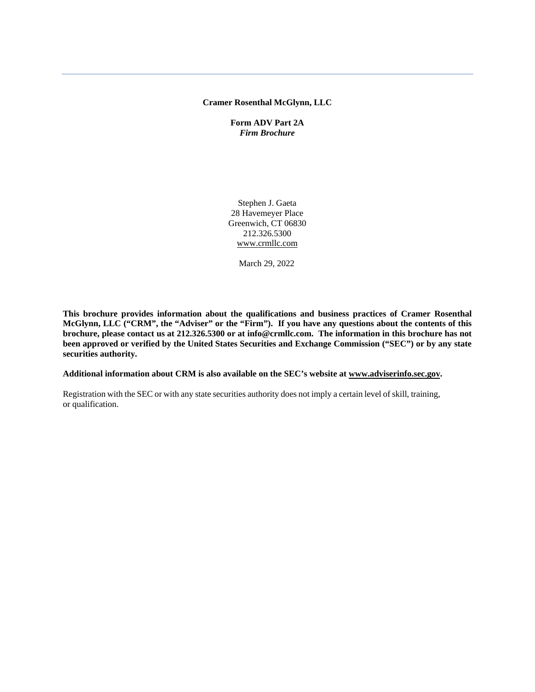#### <span id="page-0-0"></span>**Cramer Rosenthal McGlynn, LLC**

**Form ADV Part 2A** *Firm Brochure*

Stephen J. Gaeta 28 Havemeyer Place Greenwich, CT 06830 212.326.5300 [www.crmllc.com](http://www.crmllc.com/)

March 29, 2022

**This brochure provides information about the qualifications and business practices of Cramer Rosenthal McGlynn, LLC ("CRM", the "Adviser" or the "Firm"). If you have any questions about the contents of this brochure, please contact us at 212.326.5300 or at info@crmllc.com. The information in this brochure has not been approved or verified by the United States Securities and Exchange Commission ("SEC") or by any state securities authority.**

**Additional information about CRM is also available on the SEC's website at [www.adviserinfo.sec.gov.](http://www.adviserinfo.sec.gov/)**

Registration with the SEC or with any state securities authority does not imply a certain level of skill, training, or qualification.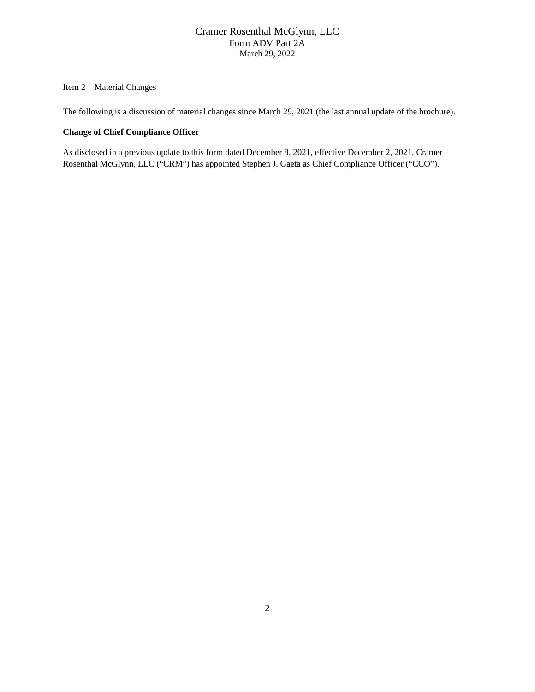### <span id="page-1-0"></span>Item 2 Material Changes

The following is a discussion of material changes since March 29, 2021 (the last annual update of the brochure).

### <span id="page-1-1"></span>**Change of Chief Compliance Officer**

As disclosed in a previous update to this form dated December 8, 2021, effective December 2, 2021, Cramer Rosenthal McGlynn, LLC ("CRM") has appointed Stephen J. Gaeta as Chief Compliance Officer ("CCO").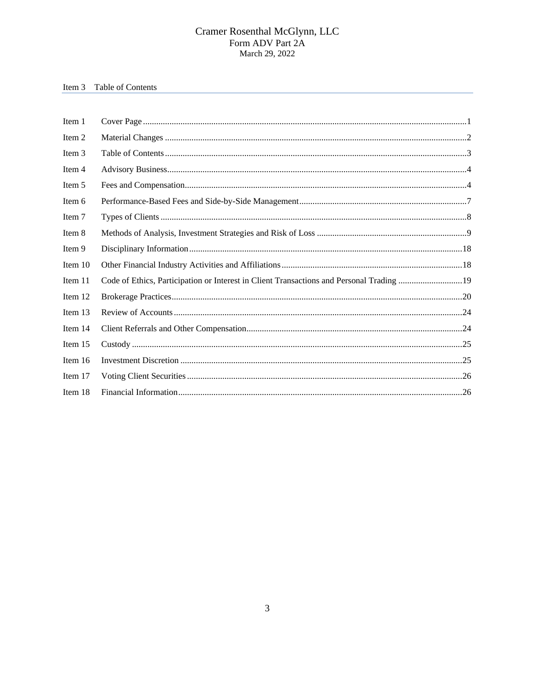# Item 3 Table of Contents

| Item 1  |                                                                                          |  |
|---------|------------------------------------------------------------------------------------------|--|
| Item 2  |                                                                                          |  |
| Item 3  |                                                                                          |  |
| Item 4  |                                                                                          |  |
| Item 5  |                                                                                          |  |
| Item 6  |                                                                                          |  |
| Item 7  |                                                                                          |  |
| Item 8  |                                                                                          |  |
| Item 9  |                                                                                          |  |
| Item 10 |                                                                                          |  |
| Item 11 | Code of Ethics, Participation or Interest in Client Transactions and Personal Trading 19 |  |
| Item 12 |                                                                                          |  |
| Item 13 |                                                                                          |  |
| Item 14 |                                                                                          |  |
| Item 15 |                                                                                          |  |
| Item 16 |                                                                                          |  |
| Item 17 |                                                                                          |  |
| Item 18 |                                                                                          |  |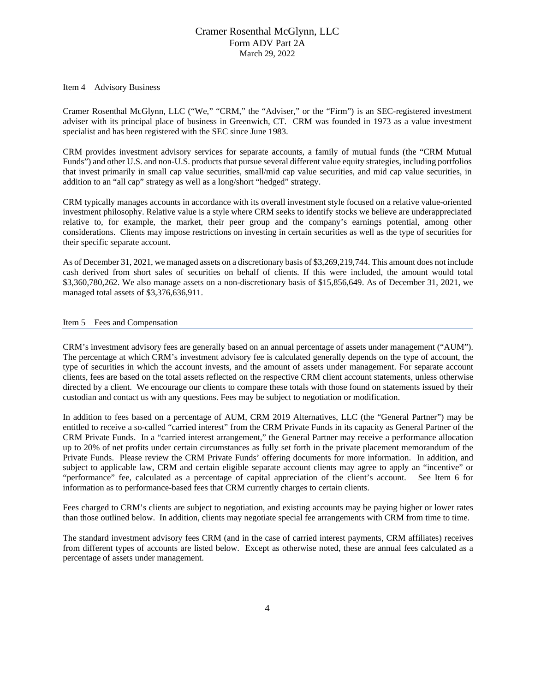#### <span id="page-3-0"></span>Item 4 Advisory Business

Cramer Rosenthal McGlynn, LLC ("We," "CRM," the "Adviser," or the "Firm") is an SEC-registered investment adviser with its principal place of business in Greenwich, CT. CRM was founded in 1973 as a value investment specialist and has been registered with the SEC since June 1983.

CRM provides investment advisory services for separate accounts, a family of mutual funds (the "CRM Mutual Funds") and other U.S. and non-U.S. products that pursue several different value equity strategies, including portfolios that invest primarily in small cap value securities, small/mid cap value securities, and mid cap value securities, in addition to an "all cap" strategy as well as a long/short "hedged" strategy.

CRM typically manages accounts in accordance with its overall investment style focused on a relative value-oriented investment philosophy. Relative value is a style where CRM seeks to identify stocks we believe are underappreciated relative to, for example, the market, their peer group and the company's earnings potential, among other considerations. Clients may impose restrictions on investing in certain securities as well as the type of securities for their specific separate account.

As of December 31, 2021, we managed assets on a discretionary basis of \$3,269,219,744. This amount does not include cash derived from short sales of securities on behalf of clients. If this were included, the amount would total \$3,360,780,262. We also manage assets on a non-discretionary basis of \$15,856,649. As of December 31, 2021, we managed total assets of \$3,376,636,911.

#### <span id="page-3-1"></span>Item 5 Fees and Compensation

CRM's investment advisory fees are generally based on an annual percentage of assets under management ("AUM"). The percentage at which CRM's investment advisory fee is calculated generally depends on the type of account, the type of securities in which the account invests, and the amount of assets under management. For separate account clients, fees are based on the total assets reflected on the respective CRM client account statements, unless otherwise directed by a client. We encourage our clients to compare these totals with those found on statements issued by their custodian and contact us with any questions. Fees may be subject to negotiation or modification.

In addition to fees based on a percentage of AUM, CRM 2019 Alternatives, LLC (the "General Partner") may be entitled to receive a so-called "carried interest" from the CRM Private Funds in its capacity as General Partner of the CRM Private Funds. In a "carried interest arrangement," the General Partner may receive a performance allocation up to 20% of net profits under certain circumstances as fully set forth in the private placement memorandum of the Private Funds. Please review the CRM Private Funds' offering documents for more information. In addition, and subject to applicable law, CRM and certain eligible separate account clients may agree to apply an "incentive" or "performance" fee, calculated as a percentage of capital appreciation of the client's account. See Item 6 for information as to performance-based fees that CRM currently charges to certain clients.

Fees charged to CRM's clients are subject to negotiation, and existing accounts may be paying higher or lower rates than those outlined below. In addition, clients may negotiate special fee arrangements with CRM from time to time.

The standard investment advisory fees CRM (and in the case of carried interest payments, CRM affiliates) receives from different types of accounts are listed below. Except as otherwise noted, these are annual fees calculated as a percentage of assets under management.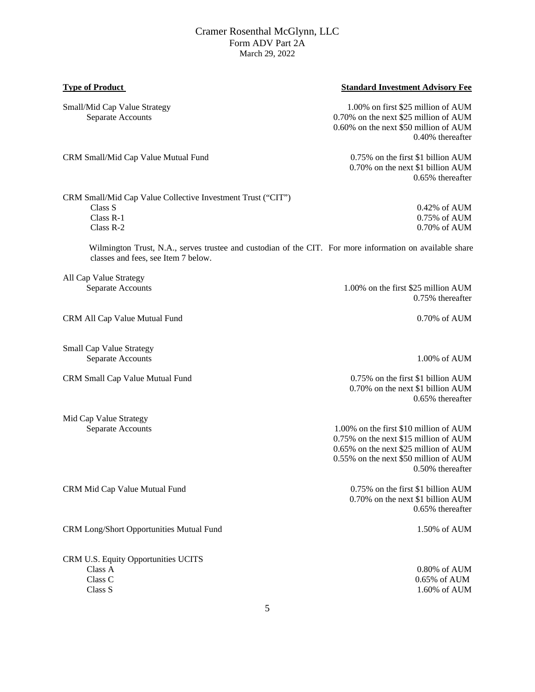### **Type of Product** Standard Investment Advisory Fee

Small/Mid Cap Value Strategy 1.00% on first \$25 million of AUM Separate Accounts 6.70% on the next \$25 million of AUM 0.60% on the next \$50 million of AUM 0.40% thereafter

CRM Small/Mid Cap Value Mutual Fund 0.75% on the first \$1 billion AUM

0.65% thereafter

0.70% on the next \$1 billion AUM

Class R-1 0.75% of AUM Class R-2 0.70% of AUM

CRM Small/Mid Cap Value Collective Investment Trust ("CIT") Class S 0.42% of AUM

 Wilmington Trust, N.A., serves trustee and custodian of the CIT. For more information on available share classes and fees, see Item 7 below.

All Cap Value Strategy

CRM All Cap Value Mutual Fund 0.70% of AUM

Small Cap Value Strategy Separate Accounts 1.00% of AUM

Mid Cap Value Strategy

CRM Mid Cap Value Mutual Fund 0.75% on the first \$1 billion AUM

CRM Long/Short Opportunities Mutual Fund 1.50% of AUM

CRM U.S. Equity Opportunities UCITS Class C 0.65% of AUM Class S 1.60% of AUM

Separate Accounts 1.00% on the first \$25 million AUM 0.75% thereafter

CRM Small Cap Value Mutual Fund 0.75% on the first \$1 billion AUM 0.70% on the next \$1 billion AUM 0.65% thereafter

Separate Accounts 1.00% on the first \$10 million of AUM 0.75% on the next \$15 million of AUM 0.65% on the next \$25 million of AUM 0.55% on the next \$50 million of AUM 0.50% thereafter

> 0.70% on the next \$1 billion AUM 0.65% thereafter

 $0.80\%$  of AUM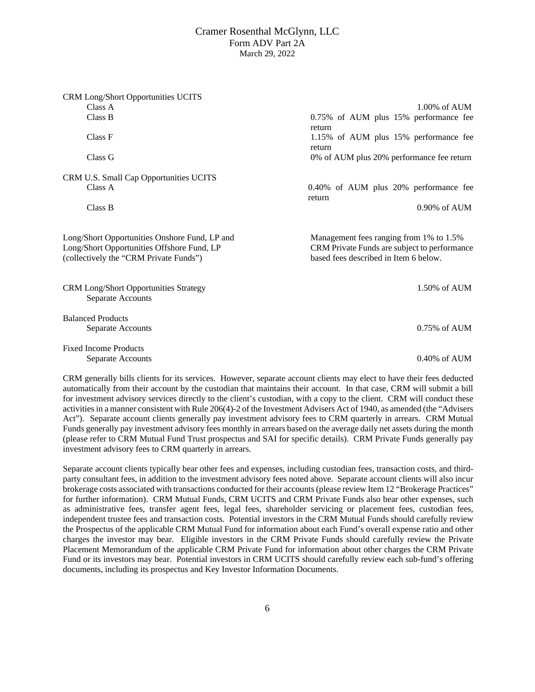| CRM Long/Short Opportunities UCITS                                                                                                                                                                                                            |                                              |  |  |
|-----------------------------------------------------------------------------------------------------------------------------------------------------------------------------------------------------------------------------------------------|----------------------------------------------|--|--|
| Class A                                                                                                                                                                                                                                       | $1.00\%$ of $AUM$                            |  |  |
| Class B                                                                                                                                                                                                                                       | 0.75% of AUM plus 15% performance fee        |  |  |
|                                                                                                                                                                                                                                               | return                                       |  |  |
| Class F                                                                                                                                                                                                                                       | 1.15% of AUM plus 15% performance fee        |  |  |
|                                                                                                                                                                                                                                               | return                                       |  |  |
| Class G                                                                                                                                                                                                                                       | 0% of AUM plus 20% performance fee return    |  |  |
| CRM U.S. Small Cap Opportunities UCITS                                                                                                                                                                                                        |                                              |  |  |
| Class A                                                                                                                                                                                                                                       | 0.40% of AUM plus 20% performance fee        |  |  |
|                                                                                                                                                                                                                                               | return                                       |  |  |
| Class B                                                                                                                                                                                                                                       | 0.90% of AUM                                 |  |  |
|                                                                                                                                                                                                                                               |                                              |  |  |
| Long/Short Opportunities Onshore Fund, LP and                                                                                                                                                                                                 | Management fees ranging from 1% to 1.5%      |  |  |
| Long/Short Opportunities Offshore Fund, LP                                                                                                                                                                                                    | CRM Private Funds are subject to performance |  |  |
| (collectively the "CRM Private Funds")                                                                                                                                                                                                        | based fees described in Item 6 below.        |  |  |
|                                                                                                                                                                                                                                               |                                              |  |  |
|                                                                                                                                                                                                                                               |                                              |  |  |
| CRM Long/Short Opportunities Strategy<br>Separate Accounts                                                                                                                                                                                    | 1.50% of AUM                                 |  |  |
|                                                                                                                                                                                                                                               |                                              |  |  |
| <b>Balanced Products</b>                                                                                                                                                                                                                      |                                              |  |  |
| Separate Accounts                                                                                                                                                                                                                             | $0.75\%$ of AUM                              |  |  |
|                                                                                                                                                                                                                                               |                                              |  |  |
| <b>Fixed Income Products</b>                                                                                                                                                                                                                  |                                              |  |  |
| Separate Accounts                                                                                                                                                                                                                             | $0.40\%$ of AUM                              |  |  |
|                                                                                                                                                                                                                                               |                                              |  |  |
| CRM generally bills clients for its services. However, separate account clients may elect to have their fees deducted<br>outamatically from their account by the quotedian that maintains their eccount. In that case, CDM will submit a hill |                                              |  |  |

automatically from their account by the custodian that maintains their account. In that case, CRM will submit a bill for investment advisory services directly to the client's custodian, with a copy to the client. CRM will conduct these activities in a manner consistent with Rule 206(4)-2 of the Investment Advisers Act of 1940, as amended (the "Advisers Act"). Separate account clients generally pay investment advisory fees to CRM quarterly in arrears. CRM Mutual Funds generally pay investment advisory fees monthly in arrears based on the average daily net assets during the month (please refer to CRM Mutual Fund Trust prospectus and SAI for specific details). CRM Private Funds generally pay investment advisory fees to CRM quarterly in arrears.

Separate account clients typically bear other fees and expenses, including custodian fees, transaction costs, and thirdparty consultant fees, in addition to the investment advisory fees noted above. Separate account clients will also incur brokerage costs associated with transactions conducted for their accounts (please review Item 12 "Brokerage Practices" for further information). CRM Mutual Funds, CRM UCITS and CRM Private Funds also bear other expenses, such as administrative fees, transfer agent fees, legal fees, shareholder servicing or placement fees, custodian fees, independent trustee fees and transaction costs. Potential investors in the CRM Mutual Funds should carefully review the Prospectus of the applicable CRM Mutual Fund for information about each Fund's overall expense ratio and other charges the investor may bear. Eligible investors in the CRM Private Funds should carefully review the Private Placement Memorandum of the applicable CRM Private Fund for information about other charges the CRM Private Fund or its investors may bear. Potential investors in CRM UCITS should carefully review each sub-fund's offering documents, including its prospectus and Key Investor Information Documents.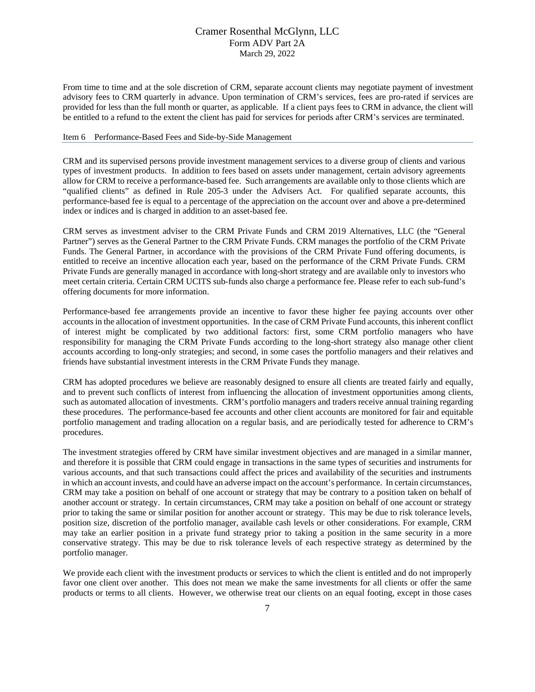From time to time and at the sole discretion of CRM, separate account clients may negotiate payment of investment advisory fees to CRM quarterly in advance. Upon termination of CRM's services, fees are pro-rated if services are provided for less than the full month or quarter, as applicable. If a client pays fees to CRM in advance, the client will be entitled to a refund to the extent the client has paid for services for periods after CRM's services are terminated.

#### <span id="page-6-0"></span>Item 6 Performance-Based Fees and Side-by-Side Management

CRM and its supervised persons provide investment management services to a diverse group of clients and various types of investment products. In addition to fees based on assets under management, certain advisory agreements allow for CRM to receive a performance-based fee. Such arrangements are available only to those clients which are "qualified clients" as defined in Rule 205-3 under the Advisers Act. For qualified separate accounts, this performance-based fee is equal to a percentage of the appreciation on the account over and above a pre-determined index or indices and is charged in addition to an asset-based fee.

CRM serves as investment adviser to the CRM Private Funds and CRM 2019 Alternatives, LLC (the "General Partner") serves as the General Partner to the CRM Private Funds. CRM manages the portfolio of the CRM Private Funds. The General Partner, in accordance with the provisions of the CRM Private Fund offering documents, is entitled to receive an incentive allocation each year, based on the performance of the CRM Private Funds. CRM Private Funds are generally managed in accordance with long-short strategy and are available only to investors who meet certain criteria. Certain CRM UCITS sub-funds also charge a performance fee. Please refer to each sub-fund's offering documents for more information.

Performance-based fee arrangements provide an incentive to favor these higher fee paying accounts over other accounts in the allocation of investment opportunities. In the case of CRM Private Fund accounts, this inherent conflict of interest might be complicated by two additional factors: first, some CRM portfolio managers who have responsibility for managing the CRM Private Funds according to the long-short strategy also manage other client accounts according to long-only strategies; and second, in some cases the portfolio managers and their relatives and friends have substantial investment interests in the CRM Private Funds they manage.

CRM has adopted procedures we believe are reasonably designed to ensure all clients are treated fairly and equally, and to prevent such conflicts of interest from influencing the allocation of investment opportunities among clients, such as automated allocation of investments. CRM's portfolio managers and traders receive annual training regarding these procedures. The performance-based fee accounts and other client accounts are monitored for fair and equitable portfolio management and trading allocation on a regular basis, and are periodically tested for adherence to CRM's procedures.

The investment strategies offered by CRM have similar investment objectives and are managed in a similar manner, and therefore it is possible that CRM could engage in transactions in the same types of securities and instruments for various accounts, and that such transactions could affect the prices and availability of the securities and instruments in which an account invests, and could have an adverse impact on the account's performance. In certain circumstances, CRM may take a position on behalf of one account or strategy that may be contrary to a position taken on behalf of another account or strategy. In certain circumstances, CRM may take a position on behalf of one account or strategy prior to taking the same or similar position for another account or strategy. This may be due to risk tolerance levels, position size, discretion of the portfolio manager, available cash levels or other considerations. For example, CRM may take an earlier position in a private fund strategy prior to taking a position in the same security in a more conservative strategy. This may be due to risk tolerance levels of each respective strategy as determined by the portfolio manager.

We provide each client with the investment products or services to which the client is entitled and do not improperly favor one client over another. This does not mean we make the same investments for all clients or offer the same products or terms to all clients. However, we otherwise treat our clients on an equal footing, except in those cases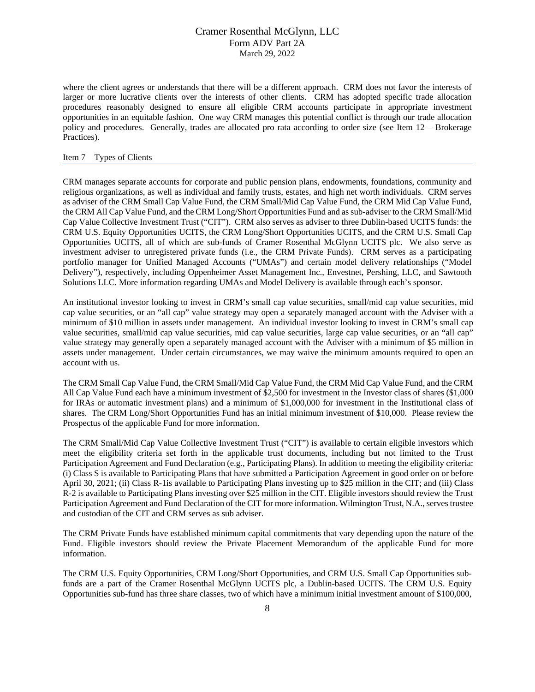where the client agrees or understands that there will be a different approach. CRM does not favor the interests of larger or more lucrative clients over the interests of other clients. CRM has adopted specific trade allocation procedures reasonably designed to ensure all eligible CRM accounts participate in appropriate investment opportunities in an equitable fashion. One way CRM manages this potential conflict is through our trade allocation policy and procedures. Generally, trades are allocated pro rata according to order size (see Item 12 – Brokerage Practices).

#### <span id="page-7-0"></span>Item 7 Types of Clients

CRM manages separate accounts for corporate and public pension plans, endowments, foundations, community and religious organizations, as well as individual and family trusts, estates, and high net worth individuals. CRM serves as adviser of the CRM Small Cap Value Fund, the CRM Small/Mid Cap Value Fund, the CRM Mid Cap Value Fund, the CRM All Cap Value Fund, and the CRM Long/Short Opportunities Fund and as sub-adviser to the CRM Small/Mid Cap Value Collective Investment Trust ("CIT"). CRM also serves as adviser to three Dublin-based UCITS funds: the CRM U.S. Equity Opportunities UCITS, the CRM Long/Short Opportunities UCITS, and the CRM U.S. Small Cap Opportunities UCITS, all of which are sub-funds of Cramer Rosenthal McGlynn UCITS plc. We also serve as investment adviser to unregistered private funds (i.e., the CRM Private Funds). CRM serves as a participating portfolio manager for Unified Managed Accounts ("UMAs") and certain model delivery relationships ("Model Delivery"), respectively, including Oppenheimer Asset Management Inc., Envestnet, Pershing, LLC, and Sawtooth Solutions LLC. More information regarding UMAs and Model Delivery is available through each's sponsor.

An institutional investor looking to invest in CRM's small cap value securities, small/mid cap value securities, mid cap value securities, or an "all cap" value strategy may open a separately managed account with the Adviser with a minimum of \$10 million in assets under management. An individual investor looking to invest in CRM's small cap value securities, small/mid cap value securities, mid cap value securities, large cap value securities, or an "all cap" value strategy may generally open a separately managed account with the Adviser with a minimum of \$5 million in assets under management. Under certain circumstances, we may waive the minimum amounts required to open an account with us.

The CRM Small Cap Value Fund, the CRM Small/Mid Cap Value Fund, the CRM Mid Cap Value Fund, and the CRM All Cap Value Fund each have a minimum investment of \$2,500 for investment in the Investor class of shares (\$1,000 for IRAs or automatic investment plans) and a minimum of \$1,000,000 for investment in the Institutional class of shares. The CRM Long/Short Opportunities Fund has an initial minimum investment of \$10,000. Please review the Prospectus of the applicable Fund for more information.

The CRM Small/Mid Cap Value Collective Investment Trust ("CIT") is available to certain eligible investors which meet the eligibility criteria set forth in the applicable trust documents, including but not limited to the Trust Participation Agreement and Fund Declaration (e.g., Participating Plans). In addition to meeting the eligibility criteria: (i) Class S is available to Participating Plans that have submitted a Participation Agreement in good order on or before April 30, 2021; (ii) Class R-1is available to Participating Plans investing up to \$25 million in the CIT; and (iii) Class R-2 is available to Participating Plans investing over \$25 million in the CIT. Eligible investors should review the Trust Participation Agreement and Fund Declaration of the CIT for more information. Wilmington Trust, N.A., serves trustee and custodian of the CIT and CRM serves as sub adviser.

The CRM Private Funds have established minimum capital commitments that vary depending upon the nature of the Fund. Eligible investors should review the Private Placement Memorandum of the applicable Fund for more information.

The CRM U.S. Equity Opportunities, CRM Long/Short Opportunities, and CRM U.S. Small Cap Opportunities subfunds are a part of the Cramer Rosenthal McGlynn UCITS plc, a Dublin-based UCITS. The CRM U.S. Equity Opportunities sub-fund has three share classes, two of which have a minimum initial investment amount of \$100,000,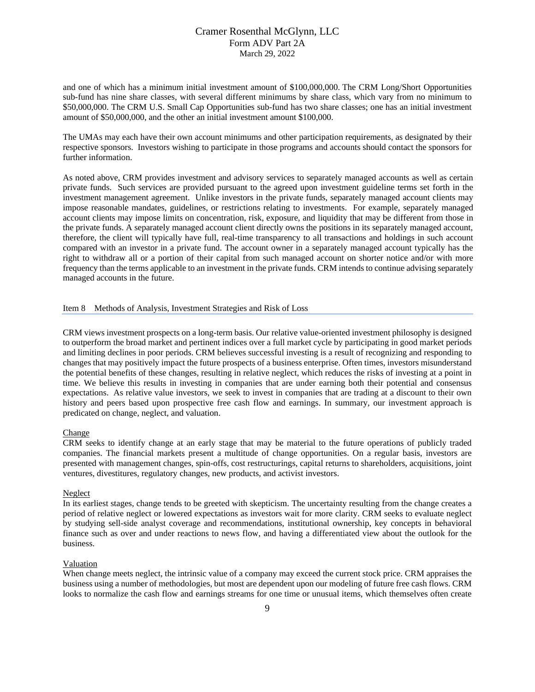and one of which has a minimum initial investment amount of \$100,000,000. The CRM Long/Short Opportunities sub-fund has nine share classes, with several different minimums by share class, which vary from no minimum to \$50,000,000. The CRM U.S. Small Cap Opportunities sub-fund has two share classes; one has an initial investment amount of \$50,000,000, and the other an initial investment amount \$100,000.

The UMAs may each have their own account minimums and other participation requirements, as designated by their respective sponsors. Investors wishing to participate in those programs and accounts should contact the sponsors for further information.

As noted above, CRM provides investment and advisory services to separately managed accounts as well as certain private funds. Such services are provided pursuant to the agreed upon investment guideline terms set forth in the investment management agreement. Unlike investors in the private funds, separately managed account clients may impose reasonable mandates, guidelines, or restrictions relating to investments. For example, separately managed account clients may impose limits on concentration, risk, exposure, and liquidity that may be different from those in the private funds. A separately managed account client directly owns the positions in its separately managed account, therefore, the client will typically have full, real-time transparency to all transactions and holdings in such account compared with an investor in a private fund. The account owner in a separately managed account typically has the right to withdraw all or a portion of their capital from such managed account on shorter notice and/or with more frequency than the terms applicable to an investment in the private funds. CRM intends to continue advising separately managed accounts in the future.

#### <span id="page-8-0"></span>Item 8 Methods of Analysis, Investment Strategies and Risk of Loss

CRM views investment prospects on a long-term basis. Our relative value-oriented investment philosophy is designed to outperform the broad market and pertinent indices over a full market cycle by participating in good market periods and limiting declines in poor periods. CRM believes successful investing is a result of recognizing and responding to changes that may positively impact the future prospects of a business enterprise. Often times, investors misunderstand the potential benefits of these changes, resulting in relative neglect, which reduces the risks of investing at a point in time. We believe this results in investing in companies that are under earning both their potential and consensus expectations. As relative value investors, we seek to invest in companies that are trading at a discount to their own history and peers based upon prospective free cash flow and earnings. In summary, our investment approach is predicated on change, neglect, and valuation.

#### Change

CRM seeks to identify change at an early stage that may be material to the future operations of publicly traded companies. The financial markets present a multitude of change opportunities. On a regular basis, investors are presented with management changes, spin-offs, cost restructurings, capital returns to shareholders, acquisitions, joint ventures, divestitures, regulatory changes, new products, and activist investors.

#### Neglect

In its earliest stages, change tends to be greeted with skepticism. The uncertainty resulting from the change creates a period of relative neglect or lowered expectations as investors wait for more clarity. CRM seeks to evaluate neglect by studying sell-side analyst coverage and recommendations, institutional ownership, key concepts in behavioral finance such as over and under reactions to news flow, and having a differentiated view about the outlook for the business.

#### Valuation

When change meets neglect, the intrinsic value of a company may exceed the current stock price. CRM appraises the business using a number of methodologies, but most are dependent upon our modeling of future free cash flows. CRM looks to normalize the cash flow and earnings streams for one time or unusual items, which themselves often create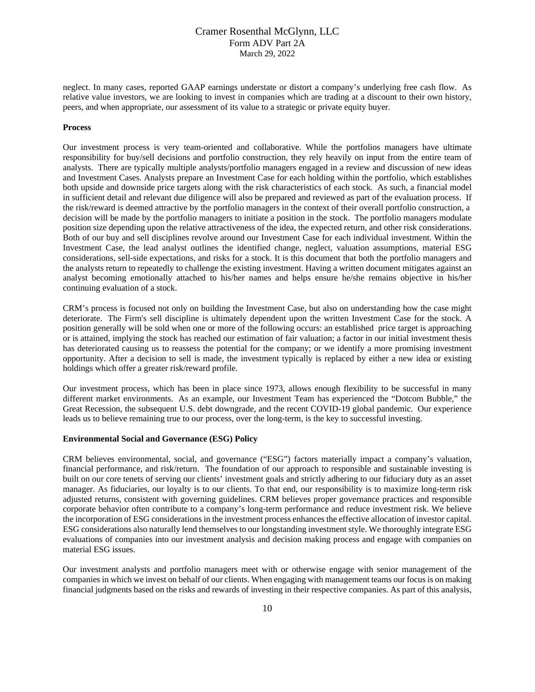neglect. In many cases, reported GAAP earnings understate or distort a company's underlying free cash flow. As relative value investors, we are looking to invest in companies which are trading at a discount to their own history, peers, and when appropriate, our assessment of its value to a strategic or private equity buyer.

#### **Process**

Our investment process is very team-oriented and collaborative. While the portfolios managers have ultimate responsibility for buy/sell decisions and portfolio construction, they rely heavily on input from the entire team of analysts. There are typically multiple analysts/portfolio managers engaged in a review and discussion of new ideas and Investment Cases. Analysts prepare an Investment Case for each holding within the portfolio, which establishes both upside and downside price targets along with the risk characteristics of each stock. As such, a financial model in sufficient detail and relevant due diligence will also be prepared and reviewed as part of the evaluation process. If the risk/reward is deemed attractive by the portfolio managers in the context of their overall portfolio construction, a decision will be made by the portfolio managers to initiate a position in the stock. The portfolio managers modulate position size depending upon the relative attractiveness of the idea, the expected return, and other risk considerations. Both of our buy and sell disciplines revolve around our Investment Case for each individual investment. Within the Investment Case, the lead analyst outlines the identified change, neglect, valuation assumptions, material ESG considerations, sell-side expectations, and risks for a stock. It is this document that both the portfolio managers and the analysts return to repeatedly to challenge the existing investment. Having a written document mitigates against an analyst becoming emotionally attached to his/her names and helps ensure he/she remains objective in his/her continuing evaluation of a stock.

CRM's process is focused not only on building the Investment Case, but also on understanding how the case might deteriorate. The Firm's sell discipline is ultimately dependent upon the written Investment Case for the stock. A position generally will be sold when one or more of the following occurs: an established price target is approaching or is attained, implying the stock has reached our estimation of fair valuation; a factor in our initial investment thesis has deteriorated causing us to reassess the potential for the company; or we identify a more promising investment opportunity. After a decision to sell is made, the investment typically is replaced by either a new idea or existing holdings which offer a greater risk/reward profile.

Our investment process, which has been in place since 1973, allows enough flexibility to be successful in many different market environments. As an example, our Investment Team has experienced the "Dotcom Bubble," the Great Recession, the subsequent U.S. debt downgrade, and the recent COVID-19 global pandemic. Our experience leads us to believe remaining true to our process, over the long-term, is the key to successful investing.

#### **Environmental Social and Governance (ESG) Policy**

CRM believes environmental, social, and governance ("ESG") factors materially impact a company's valuation, financial performance, and risk/return. The foundation of our approach to responsible and sustainable investing is built on our core tenets of serving our clients' investment goals and strictly adhering to our fiduciary duty as an asset manager. As fiduciaries, our loyalty is to our clients. To that end, our responsibility is to maximize long-term risk adjusted returns, consistent with governing guidelines. CRM believes proper governance practices and responsible corporate behavior often contribute to a company's long-term performance and reduce investment risk. We believe the incorporation of ESG considerations in the investment process enhances the effective allocation of investor capital. ESG considerations also naturally lend themselves to our longstanding investment style. We thoroughly integrate ESG evaluations of companies into our investment analysis and decision making process and engage with companies on material ESG issues.

Our investment analysts and portfolio managers meet with or otherwise engage with senior management of the companies in which we invest on behalf of our clients. When engaging with management teams our focus is on making financial judgments based on the risks and rewards of investing in their respective companies. As part of this analysis,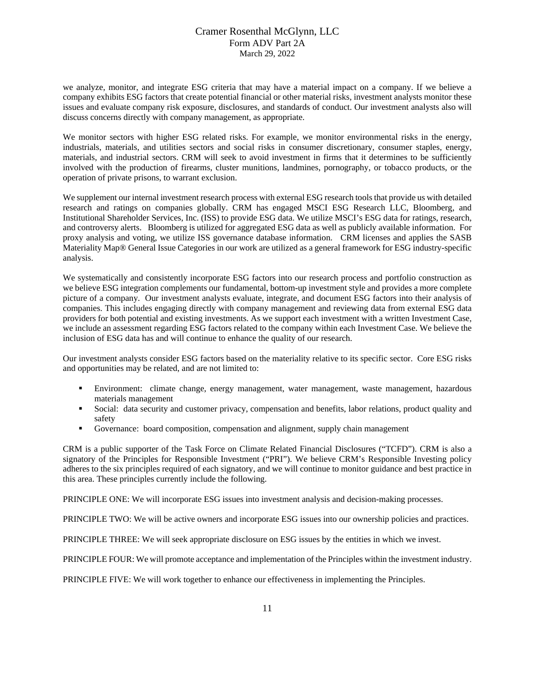we analyze, monitor, and integrate ESG criteria that may have a material impact on a company. If we believe a company exhibits ESG factors that create potential financial or other material risks, investment analysts monitor these issues and evaluate company risk exposure, disclosures, and standards of conduct. Our investment analysts also will discuss concerns directly with company management, as appropriate.

We monitor sectors with higher ESG related risks. For example, we monitor environmental risks in the energy, industrials, materials, and utilities sectors and social risks in consumer discretionary, consumer staples, energy, materials, and industrial sectors. CRM will seek to avoid investment in firms that it determines to be sufficiently involved with the production of firearms, cluster munitions, landmines, pornography, or tobacco products, or the operation of private prisons, to warrant exclusion.

We supplement our internal investment research process with external ESG research tools that provide us with detailed research and ratings on companies globally. CRM has engaged MSCI ESG Research LLC, Bloomberg, and Institutional Shareholder Services, Inc. (ISS) to provide ESG data. We utilize MSCI's ESG data for ratings, research, and controversy alerts. Bloomberg is utilized for aggregated ESG data as well as publicly available information. For proxy analysis and voting, we utilize ISS governance database information. CRM licenses and applies the SASB Materiality Map® General Issue Categories in our work are utilized as a general framework for ESG industry-specific analysis.

We systematically and consistently incorporate ESG factors into our research process and portfolio construction as we believe ESG integration complements our fundamental, bottom-up investment style and provides a more complete picture of a company. Our investment analysts evaluate, integrate, and document ESG factors into their analysis of companies. This includes engaging directly with company management and reviewing data from external ESG data providers for both potential and existing investments. As we support each investment with a written Investment Case, we include an assessment regarding ESG factors related to the company within each Investment Case. We believe the inclusion of ESG data has and will continue to enhance the quality of our research.

Our investment analysts consider ESG factors based on the materiality relative to its specific sector. Core ESG risks and opportunities may be related, and are not limited to:

- Environment: climate change, energy management, water management, waste management, hazardous materials management
- Social: data security and customer privacy, compensation and benefits, labor relations, product quality and safety
- Governance: board composition, compensation and alignment, supply chain management

CRM is a public supporter of the Task Force on Climate Related Financial Disclosures ("TCFD"). CRM is also a signatory of the Principles for Responsible Investment ("PRI"). We believe CRM's Responsible Investing policy adheres to the six principles required of each signatory, and we will continue to monitor guidance and best practice in this area. These principles currently include the following.

PRINCIPLE ONE: We will incorporate ESG issues into investment analysis and decision-making processes.

PRINCIPLE TWO: We will be active owners and incorporate ESG issues into our ownership policies and practices.

PRINCIPLE THREE: We will seek appropriate disclosure on ESG issues by the entities in which we invest.

PRINCIPLE FOUR: We will promote acceptance and implementation of the Principles within the investment industry.

PRINCIPLE FIVE: We will work together to enhance our effectiveness in implementing the Principles.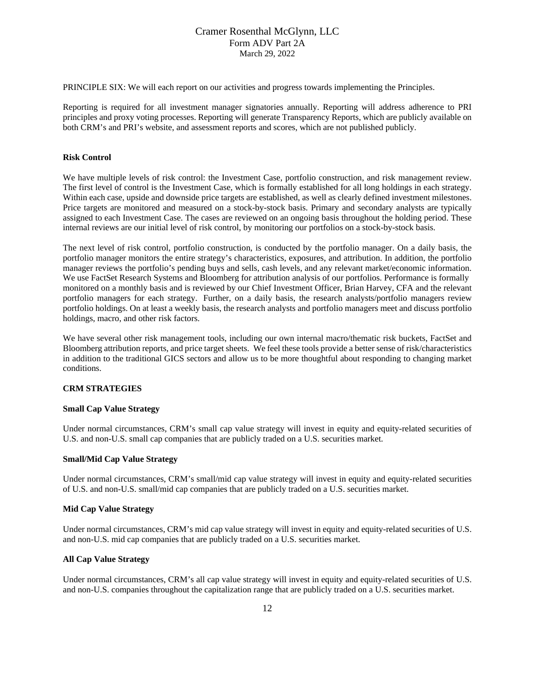PRINCIPLE SIX: We will each report on our activities and progress towards implementing the Principles.

Reporting is required for all investment manager signatories annually. Reporting will address adherence to PRI principles and proxy voting processes. Reporting will generate Transparency Reports, which are publicly available on both CRM's and PRI's website, and assessment reports and scores, which are not published publicly.

#### **Risk Control**

We have multiple levels of risk control: the Investment Case, portfolio construction, and risk management review. The first level of control is the Investment Case, which is formally established for all long holdings in each strategy. Within each case, upside and downside price targets are established, as well as clearly defined investment milestones. Price targets are monitored and measured on a stock-by-stock basis. Primary and secondary analysts are typically assigned to each Investment Case. The cases are reviewed on an ongoing basis throughout the holding period. These internal reviews are our initial level of risk control, by monitoring our portfolios on a stock-by-stock basis.

The next level of risk control, portfolio construction, is conducted by the portfolio manager. On a daily basis, the portfolio manager monitors the entire strategy's characteristics, exposures, and attribution. In addition, the portfolio manager reviews the portfolio's pending buys and sells, cash levels, and any relevant market/economic information. We use FactSet Research Systems and Bloomberg for attribution analysis of our portfolios. Performance is formally monitored on a monthly basis and is reviewed by our Chief Investment Officer, Brian Harvey, CFA and the relevant portfolio managers for each strategy. Further, on a daily basis, the research analysts/portfolio managers review portfolio holdings. On at least a weekly basis, the research analysts and portfolio managers meet and discuss portfolio holdings, macro, and other risk factors.

We have several other risk management tools, including our own internal macro/thematic risk buckets, FactSet and Bloomberg attribution reports, and price target sheets. We feel these tools provide a better sense of risk/characteristics in addition to the traditional GICS sectors and allow us to be more thoughtful about responding to changing market conditions.

### **CRM STRATEGIES**

### **Small Cap Value Strategy**

Under normal circumstances, CRM's small cap value strategy will invest in equity and equity-related securities of U.S. and non-U.S. small cap companies that are publicly traded on a U.S. securities market.

#### **Small/Mid Cap Value Strategy**

Under normal circumstances, CRM's small/mid cap value strategy will invest in equity and equity-related securities of U.S. and non-U.S. small/mid cap companies that are publicly traded on a U.S. securities market.

### **Mid Cap Value Strategy**

Under normal circumstances, CRM's mid cap value strategy will invest in equity and equity-related securities of U.S. and non-U.S. mid cap companies that are publicly traded on a U.S. securities market.

#### **All Cap Value Strategy**

Under normal circumstances, CRM's all cap value strategy will invest in equity and equity-related securities of U.S. and non-U.S. companies throughout the capitalization range that are publicly traded on a U.S. securities market.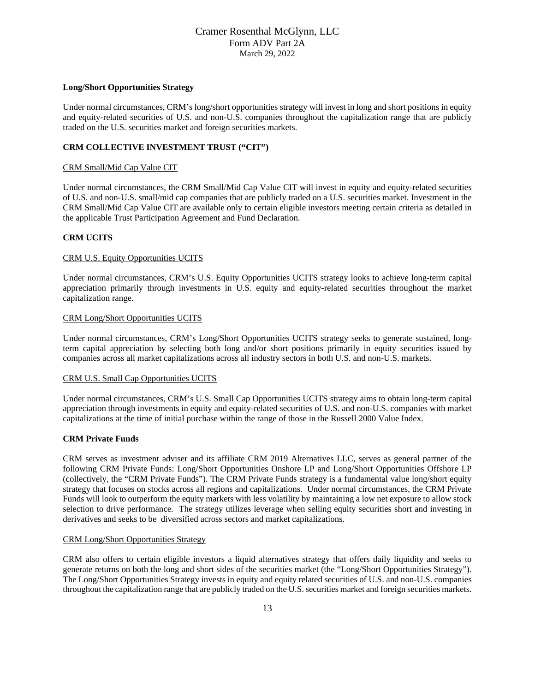#### **Long/Short Opportunities Strategy**

Under normal circumstances, CRM's long/short opportunities strategy will invest in long and short positions in equity and equity-related securities of U.S. and non-U.S. companies throughout the capitalization range that are publicly traded on the U.S. securities market and foreign securities markets.

#### **CRM COLLECTIVE INVESTMENT TRUST ("CIT")**

#### CRM Small/Mid Cap Value CIT

Under normal circumstances, the CRM Small/Mid Cap Value CIT will invest in equity and equity-related securities of U.S. and non-U.S. small/mid cap companies that are publicly traded on a U.S. securities market. Investment in the CRM Small/Mid Cap Value CIT are available only to certain eligible investors meeting certain criteria as detailed in the applicable Trust Participation Agreement and Fund Declaration.

#### **CRM UCITS**

#### CRM U.S. Equity Opportunities UCITS

Under normal circumstances, CRM's U.S. Equity Opportunities UCITS strategy looks to achieve long-term capital appreciation primarily through investments in U.S. equity and equity-related securities throughout the market capitalization range.

#### CRM Long/Short Opportunities UCITS

Under normal circumstances, CRM's Long/Short Opportunities UCITS strategy seeks to generate sustained, longterm capital appreciation by selecting both long and/or short positions primarily in equity securities issued by companies across all market capitalizations across all industry sectors in both U.S. and non-U.S. markets.

#### CRM U.S. Small Cap Opportunities UCITS

Under normal circumstances, CRM's U.S. Small Cap Opportunities UCITS strategy aims to obtain long-term capital appreciation through investments in equity and equity-related securities of U.S. and non-U.S. companies with market capitalizations at the time of initial purchase within the range of those in the Russell 2000 Value Index.

#### **CRM Private Funds**

CRM serves as investment adviser and its affiliate CRM 2019 Alternatives LLC, serves as general partner of the following CRM Private Funds: Long/Short Opportunities Onshore LP and Long/Short Opportunities Offshore LP (collectively, the "CRM Private Funds"). The CRM Private Funds strategy is a fundamental value long/short equity strategy that focuses on stocks across all regions and capitalizations. Under normal circumstances, the CRM Private Funds will look to outperform the equity markets with less volatility by maintaining a low net exposure to allow stock selection to drive performance. The strategy utilizes leverage when selling equity securities short and investing in derivatives and seeks to be diversified across sectors and market capitalizations.

#### CRM Long/Short Opportunities Strategy

CRM also offers to certain eligible investors a liquid alternatives strategy that offers daily liquidity and seeks to generate returns on both the long and short sides of the securities market (the "Long/Short Opportunities Strategy"). The Long/Short Opportunities Strategy invests in equity and equity related securities of U.S. and non-U.S. companies throughout the capitalization range that are publicly traded on the U.S. securities market and foreign securities markets.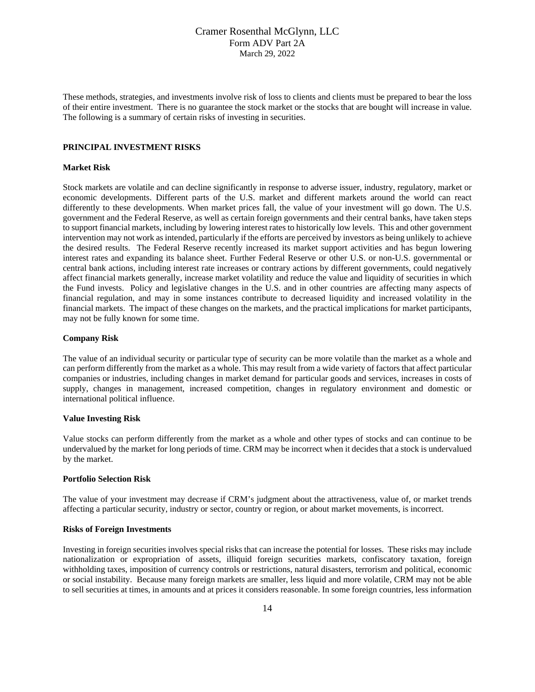These methods, strategies, and investments involve risk of loss to clients and clients must be prepared to bear the loss of their entire investment. There is no guarantee the stock market or the stocks that are bought will increase in value. The following is a summary of certain risks of investing in securities.

#### **PRINCIPAL INVESTMENT RISKS**

#### **Market Risk**

Stock markets are volatile and can decline significantly in response to adverse issuer, industry, regulatory, market or economic developments. Different parts of the U.S. market and different markets around the world can react differently to these developments. When market prices fall, the value of your investment will go down. The U.S. government and the Federal Reserve, as well as certain foreign governments and their central banks, have taken steps to support financial markets, including by lowering interest rates to historically low levels. This and other government intervention may not work as intended, particularly if the efforts are perceived by investors as being unlikely to achieve the desired results. The Federal Reserve recently increased its market support activities and has begun lowering interest rates and expanding its balance sheet. Further Federal Reserve or other U.S. or non-U.S. governmental or central bank actions, including interest rate increases or contrary actions by different governments, could negatively affect financial markets generally, increase market volatility and reduce the value and liquidity of securities in which the Fund invests. Policy and legislative changes in the U.S. and in other countries are affecting many aspects of financial regulation, and may in some instances contribute to decreased liquidity and increased volatility in the financial markets. The impact of these changes on the markets, and the practical implications for market participants, may not be fully known for some time.

#### **Company Risk**

The value of an individual security or particular type of security can be more volatile than the market as a whole and can perform differently from the market as a whole. This may result from a wide variety of factors that affect particular companies or industries, including changes in market demand for particular goods and services, increases in costs of supply, changes in management, increased competition, changes in regulatory environment and domestic or international political influence.

#### **Value Investing Risk**

Value stocks can perform differently from the market as a whole and other types of stocks and can continue to be undervalued by the market for long periods of time. CRM may be incorrect when it decides that a stock is undervalued by the market.

#### **Portfolio Selection Risk**

The value of your investment may decrease if CRM's judgment about the attractiveness, value of, or market trends affecting a particular security, industry or sector, country or region, or about market movements, is incorrect.

#### **Risks of Foreign Investments**

Investing in foreign securities involves special risks that can increase the potential for losses. These risks may include nationalization or expropriation of assets, illiquid foreign securities markets, confiscatory taxation, foreign withholding taxes, imposition of currency controls or restrictions, natural disasters, terrorism and political, economic or social instability. Because many foreign markets are smaller, less liquid and more volatile, CRM may not be able to sell securities at times, in amounts and at prices it considers reasonable. In some foreign countries, less information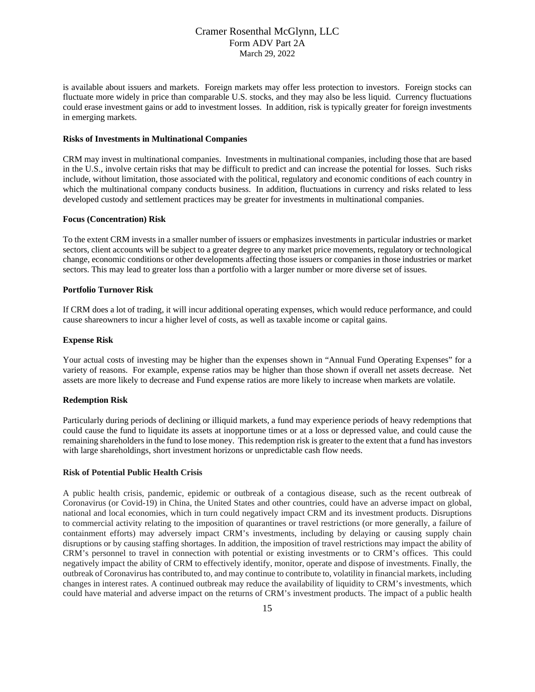is available about issuers and markets. Foreign markets may offer less protection to investors. Foreign stocks can fluctuate more widely in price than comparable U.S. stocks, and they may also be less liquid. Currency fluctuations could erase investment gains or add to investment losses. In addition, risk is typically greater for foreign investments in emerging markets.

#### **Risks of Investments in Multinational Companies**

CRM may invest in multinational companies. Investments in multinational companies, including those that are based in the U.S., involve certain risks that may be difficult to predict and can increase the potential for losses. Such risks include, without limitation, those associated with the political, regulatory and economic conditions of each country in which the multinational company conducts business. In addition, fluctuations in currency and risks related to less developed custody and settlement practices may be greater for investments in multinational companies.

#### **Focus (Concentration) Risk**

To the extent CRM invests in a smaller number of issuers or emphasizes investments in particular industries or market sectors, client accounts will be subject to a greater degree to any market price movements, regulatory or technological change, economic conditions or other developments affecting those issuers or companies in those industries or market sectors. This may lead to greater loss than a portfolio with a larger number or more diverse set of issues.

#### **Portfolio Turnover Risk**

If CRM does a lot of trading, it will incur additional operating expenses, which would reduce performance, and could cause shareowners to incur a higher level of costs, as well as taxable income or capital gains.

#### **Expense Risk**

Your actual costs of investing may be higher than the expenses shown in "Annual Fund Operating Expenses" for a variety of reasons. For example, expense ratios may be higher than those shown if overall net assets decrease. Net assets are more likely to decrease and Fund expense ratios are more likely to increase when markets are volatile.

#### **Redemption Risk**

Particularly during periods of declining or illiquid markets, a fund may experience periods of heavy redemptions that could cause the fund to liquidate its assets at inopportune times or at a loss or depressed value, and could cause the remaining shareholders in the fund to lose money. This redemption risk is greater to the extent that a fund has investors with large shareholdings, short investment horizons or unpredictable cash flow needs.

#### **Risk of Potential Public Health Crisis**

A public health crisis, pandemic, epidemic or outbreak of a contagious disease, such as the recent outbreak of Coronavirus (or Covid-19) in China, the United States and other countries, could have an adverse impact on global, national and local economies, which in turn could negatively impact CRM and its investment products. Disruptions to commercial activity relating to the imposition of quarantines or travel restrictions (or more generally, a failure of containment efforts) may adversely impact CRM's investments, including by delaying or causing supply chain disruptions or by causing staffing shortages. In addition, the imposition of travel restrictions may impact the ability of CRM's personnel to travel in connection with potential or existing investments or to CRM's offices. This could negatively impact the ability of CRM to effectively identify, monitor, operate and dispose of investments. Finally, the outbreak of Coronavirus has contributed to, and may continue to contribute to, volatility in financial markets, including changes in interest rates. A continued outbreak may reduce the availability of liquidity to CRM's investments, which could have material and adverse impact on the returns of CRM's investment products. The impact of a public health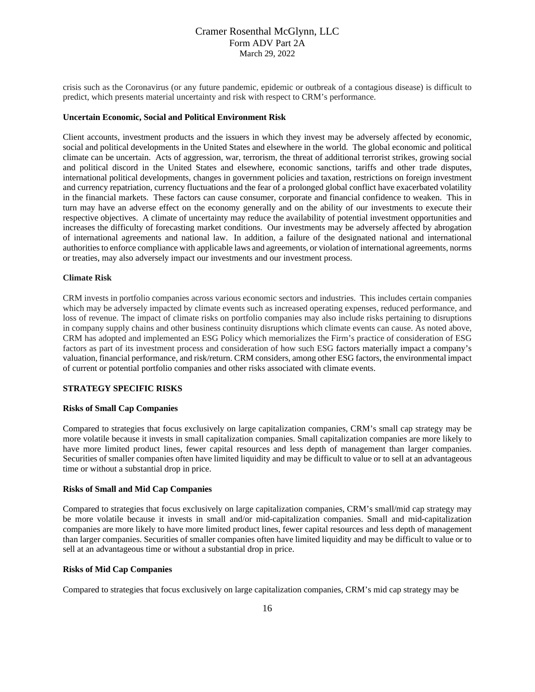crisis such as the Coronavirus (or any future pandemic, epidemic or outbreak of a contagious disease) is difficult to predict, which presents material uncertainty and risk with respect to CRM's performance.

#### **Uncertain Economic, Social and Political Environment Risk**

Client accounts, investment products and the issuers in which they invest may be adversely affected by economic, social and political developments in the United States and elsewhere in the world. The global economic and political climate can be uncertain. Acts of aggression, war, terrorism, the threat of additional terrorist strikes, growing social and political discord in the United States and elsewhere, economic sanctions, tariffs and other trade disputes, international political developments, changes in government policies and taxation, restrictions on foreign investment and currency repatriation, currency fluctuations and the fear of a prolonged global conflict have exacerbated volatility in the financial markets. These factors can cause consumer, corporate and financial confidence to weaken. This in turn may have an adverse effect on the economy generally and on the ability of our investments to execute their respective objectives. A climate of uncertainty may reduce the availability of potential investment opportunities and increases the difficulty of forecasting market conditions. Our investments may be adversely affected by abrogation of international agreements and national law. In addition, a failure of the designated national and international authorities to enforce compliance with applicable laws and agreements, or violation of international agreements, norms or treaties, may also adversely impact our investments and our investment process.

#### **Climate Risk**

CRM invests in portfolio companies across various economic sectors and industries. This includes certain companies which may be adversely impacted by climate events such as increased operating expenses, reduced performance, and loss of revenue. The impact of climate risks on portfolio companies may also include risks pertaining to disruptions in company supply chains and other business continuity disruptions which climate events can cause. As noted above, CRM has adopted and implemented an ESG Policy which memorializes the Firm's practice of consideration of ESG factors as part of its investment process and consideration of how such ESG factors materially impact a company's valuation, financial performance, and risk/return. CRM considers, among other ESG factors, the environmental impact of current or potential portfolio companies and other risks associated with climate events.

#### **STRATEGY SPECIFIC RISKS**

#### **Risks of Small Cap Companies**

Compared to strategies that focus exclusively on large capitalization companies, CRM's small cap strategy may be more volatile because it invests in small capitalization companies. Small capitalization companies are more likely to have more limited product lines, fewer capital resources and less depth of management than larger companies. Securities of smaller companies often have limited liquidity and may be difficult to value or to sell at an advantageous time or without a substantial drop in price.

#### **Risks of Small and Mid Cap Companies**

Compared to strategies that focus exclusively on large capitalization companies, CRM's small/mid cap strategy may be more volatile because it invests in small and/or mid-capitalization companies. Small and mid-capitalization companies are more likely to have more limited product lines, fewer capital resources and less depth of management than larger companies. Securities of smaller companies often have limited liquidity and may be difficult to value or to sell at an advantageous time or without a substantial drop in price.

#### **Risks of Mid Cap Companies**

Compared to strategies that focus exclusively on large capitalization companies, CRM's mid cap strategy may be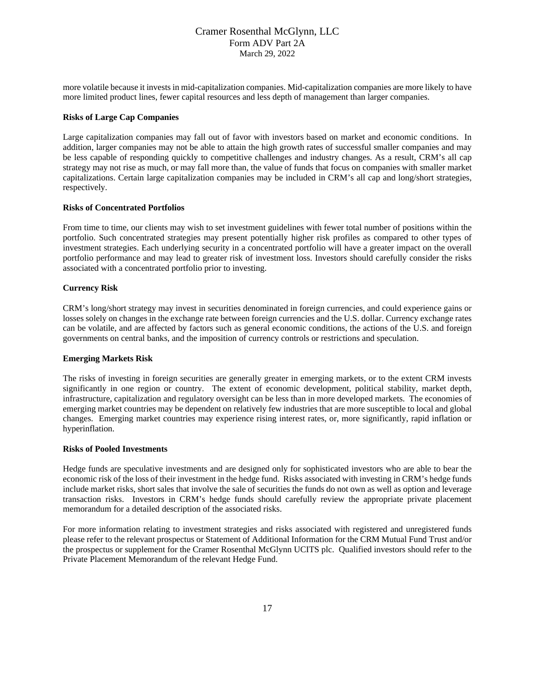more volatile because it invests in mid-capitalization companies. Mid-capitalization companies are more likely to have more limited product lines, fewer capital resources and less depth of management than larger companies.

#### **Risks of Large Cap Companies**

Large capitalization companies may fall out of favor with investors based on market and economic conditions. In addition, larger companies may not be able to attain the high growth rates of successful smaller companies and may be less capable of responding quickly to competitive challenges and industry changes. As a result, CRM's all cap strategy may not rise as much, or may fall more than, the value of funds that focus on companies with smaller market capitalizations. Certain large capitalization companies may be included in CRM's all cap and long/short strategies, respectively.

#### **Risks of Concentrated Portfolios**

From time to time, our clients may wish to set investment guidelines with fewer total number of positions within the portfolio. Such concentrated strategies may present potentially higher risk profiles as compared to other types of investment strategies. Each underlying security in a concentrated portfolio will have a greater impact on the overall portfolio performance and may lead to greater risk of investment loss. Investors should carefully consider the risks associated with a concentrated portfolio prior to investing.

### **Currency Risk**

CRM's long/short strategy may invest in securities denominated in foreign currencies, and could experience gains or losses solely on changes in the exchange rate between foreign currencies and the U.S. dollar. Currency exchange rates can be volatile, and are affected by factors such as general economic conditions, the actions of the U.S. and foreign governments on central banks, and the imposition of currency controls or restrictions and speculation.

#### **Emerging Markets Risk**

The risks of investing in foreign securities are generally greater in emerging markets, or to the extent CRM invests significantly in one region or country. The extent of economic development, political stability, market depth, infrastructure, capitalization and regulatory oversight can be less than in more developed markets. The economies of emerging market countries may be dependent on relatively few industries that are more susceptible to local and global changes. Emerging market countries may experience rising interest rates, or, more significantly, rapid inflation or hyperinflation.

#### **Risks of Pooled Investments**

Hedge funds are speculative investments and are designed only for sophisticated investors who are able to bear the economic risk of the loss of their investment in the hedge fund. Risks associated with investing in CRM's hedge funds include market risks, short sales that involve the sale of securities the funds do not own as well as option and leverage transaction risks. Investors in CRM's hedge funds should carefully review the appropriate private placement memorandum for a detailed description of the associated risks.

For more information relating to investment strategies and risks associated with registered and unregistered funds please refer to the relevant prospectus or Statement of Additional Information for the CRM Mutual Fund Trust and/or the prospectus or supplement for the Cramer Rosenthal McGlynn UCITS plc. Qualified investors should refer to the Private Placement Memorandum of the relevant Hedge Fund.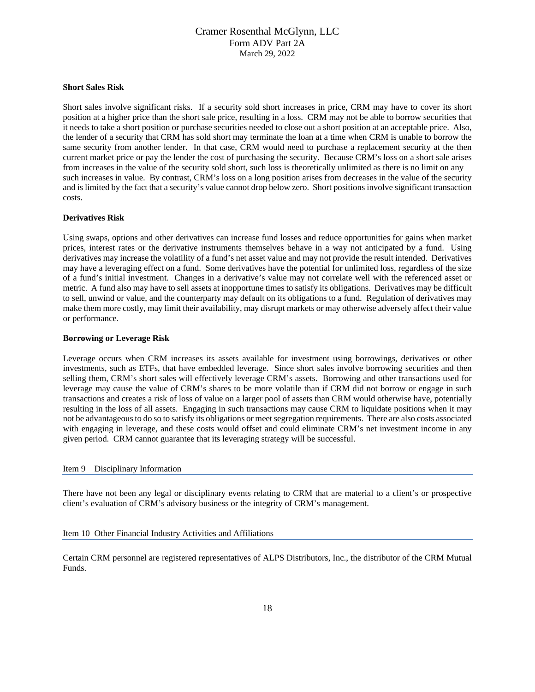#### **Short Sales Risk**

Short sales involve significant risks. If a security sold short increases in price, CRM may have to cover its short position at a higher price than the short sale price, resulting in a loss. CRM may not be able to borrow securities that it needs to take a short position or purchase securities needed to close out a short position at an acceptable price. Also, the lender of a security that CRM has sold short may terminate the loan at a time when CRM is unable to borrow the same security from another lender. In that case, CRM would need to purchase a replacement security at the then current market price or pay the lender the cost of purchasing the security. Because CRM's loss on a short sale arises from increases in the value of the security sold short, such loss is theoretically unlimited as there is no limit on any such increases in value. By contrast, CRM's loss on a long position arises from decreases in the value of the security and is limited by the fact that a security's value cannot drop below zero. Short positions involve significant transaction costs.

#### **Derivatives Risk**

Using swaps, options and other derivatives can increase fund losses and reduce opportunities for gains when market prices, interest rates or the derivative instruments themselves behave in a way not anticipated by a fund. Using derivatives may increase the volatility of a fund's net asset value and may not provide the result intended. Derivatives may have a leveraging effect on a fund. Some derivatives have the potential for unlimited loss, regardless of the size of a fund's initial investment. Changes in a derivative's value may not correlate well with the referenced asset or metric. A fund also may have to sell assets at inopportune times to satisfy its obligations. Derivatives may be difficult to sell, unwind or value, and the counterparty may default on its obligations to a fund. Regulation of derivatives may make them more costly, may limit their availability, may disrupt markets or may otherwise adversely affect their value or performance.

#### **Borrowing or Leverage Risk**

Leverage occurs when CRM increases its assets available for investment using borrowings, derivatives or other investments, such as ETFs, that have embedded leverage. Since short sales involve borrowing securities and then selling them, CRM's short sales will effectively leverage CRM's assets. Borrowing and other transactions used for leverage may cause the value of CRM's shares to be more volatile than if CRM did not borrow or engage in such transactions and creates a risk of loss of value on a larger pool of assets than CRM would otherwise have, potentially resulting in the loss of all assets. Engaging in such transactions may cause CRM to liquidate positions when it may not be advantageous to do so to satisfy its obligations or meet segregation requirements. There are also costs associated with engaging in leverage, and these costs would offset and could eliminate CRM's net investment income in any given period. CRM cannot guarantee that its leveraging strategy will be successful.

#### <span id="page-17-0"></span>Item 9 Disciplinary Information

There have not been any legal or disciplinary events relating to CRM that are material to a client's or prospective client's evaluation of CRM's advisory business or the integrity of CRM's management.

#### <span id="page-17-1"></span>Item 10 Other Financial Industry Activities and Affiliations

Certain CRM personnel are registered representatives of ALPS Distributors, Inc., the distributor of the CRM Mutual Funds.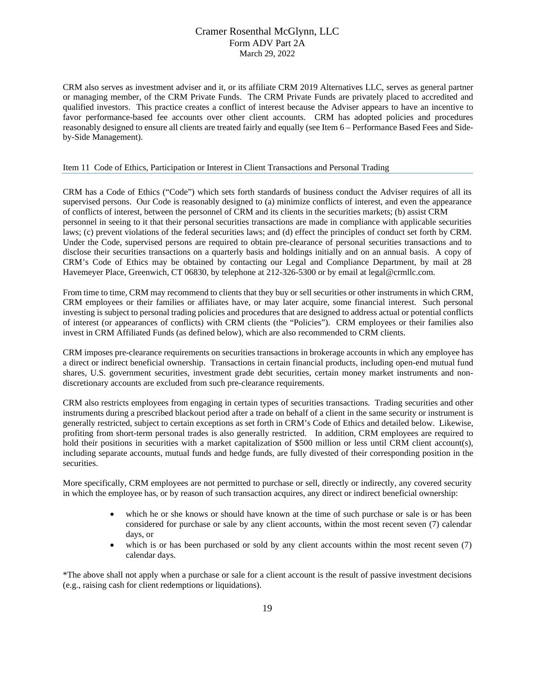CRM also serves as investment adviser and it, or its affiliate CRM 2019 Alternatives LLC, serves as general partner or managing member, of the CRM Private Funds. The CRM Private Funds are privately placed to accredited and qualified investors. This practice creates a conflict of interest because the Adviser appears to have an incentive to favor performance-based fee accounts over other client accounts. CRM has adopted policies and procedures reasonably designed to ensure all clients are treated fairly and equally (see Item 6 – Performance Based Fees and Sideby-Side Management).

#### <span id="page-18-0"></span>Item 11 Code of Ethics, Participation or Interest in Client Transactions and Personal Trading

CRM has a Code of Ethics ("Code") which sets forth standards of business conduct the Adviser requires of all its supervised persons. Our Code is reasonably designed to (a) minimize conflicts of interest, and even the appearance of conflicts of interest, between the personnel of CRM and its clients in the securities markets; (b) assist CRM personnel in seeing to it that their personal securities transactions are made in compliance with applicable securities laws; (c) prevent violations of the federal securities laws; and (d) effect the principles of conduct set forth by CRM. Under the Code, supervised persons are required to obtain pre-clearance of personal securities transactions and to disclose their securities transactions on a quarterly basis and holdings initially and on an annual basis. A copy of CRM's Code of Ethics may be obtained by contacting our Legal and Compliance Department, by mail at 28 Havemeyer Place, Greenwich, CT 06830, by telephone at 212-326-5300 or by email at legal@crmllc.com.

From time to time, CRM may recommend to clients that they buy or sell securities or other instruments in which CRM, CRM employees or their families or affiliates have, or may later acquire, some financial interest. Such personal investing is subject to personal trading policies and procedures that are designed to address actual or potential conflicts of interest (or appearances of conflicts) with CRM clients (the "Policies"). CRM employees or their families also invest in CRM Affiliated Funds (as defined below), which are also recommended to CRM clients.

CRM imposes pre-clearance requirements on securities transactions in brokerage accounts in which any employee has a direct or indirect beneficial ownership. Transactions in certain financial products, including open-end mutual fund shares, U.S. government securities, investment grade debt securities, certain money market instruments and nondiscretionary accounts are excluded from such pre-clearance requirements.

CRM also restricts employees from engaging in certain types of securities transactions. Trading securities and other instruments during a prescribed blackout period after a trade on behalf of a client in the same security or instrument is generally restricted, subject to certain exceptions as set forth in CRM's Code of Ethics and detailed below. Likewise, profiting from short-term personal trades is also generally restricted. In addition, CRM employees are required to hold their positions in securities with a market capitalization of \$500 million or less until CRM client account(s), including separate accounts, mutual funds and hedge funds, are fully divested of their corresponding position in the securities.

More specifically, CRM employees are not permitted to purchase or sell, directly or indirectly, any covered security in which the employee has, or by reason of such transaction acquires, any direct or indirect beneficial ownership:

- which he or she knows or should have known at the time of such purchase or sale is or has been considered for purchase or sale by any client accounts, within the most recent seven (7) calendar days, or
- which is or has been purchased or sold by any client accounts within the most recent seven (7) calendar days.

\*The above shall not apply when a purchase or sale for a client account is the result of passive investment decisions (e.g., raising cash for client redemptions or liquidations).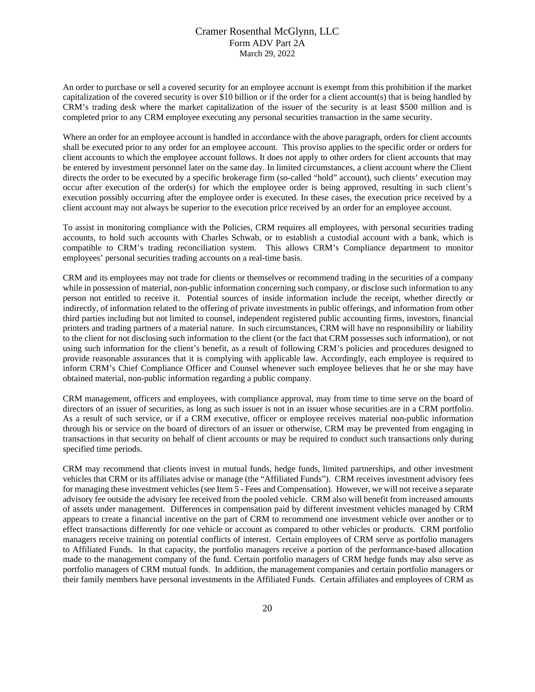An order to purchase or sell a covered security for an employee account is exempt from this prohibition if the market capitalization of the covered security is over \$10 billion or if the order for a client account(s) that is being handled by CRM's trading desk where the market capitalization of the issuer of the security is at least \$500 million and is completed prior to any CRM employee executing any personal securities transaction in the same security.

Where an order for an employee account is handled in accordance with the above paragraph, orders for client accounts shall be executed prior to any order for an employee account. This proviso applies to the specific order or orders for client accounts to which the employee account follows. It does not apply to other orders for client accounts that may be entered by investment personnel later on the same day. In limited circumstances, a client account where the Client directs the order to be executed by a specific brokerage firm (so-called "hold" account), such clients' execution may occur after execution of the order(s) for which the employee order is being approved, resulting in such client's execution possibly occurring after the employee order is executed. In these cases, the execution price received by a client account may not always be superior to the execution price received by an order for an employee account.

To assist in monitoring compliance with the Policies, CRM requires all employees, with personal securities trading accounts, to hold such accounts with Charles Schwab, or to establish a custodial account with a bank, which is compatible to CRM's trading reconciliation system. This allows CRM's Compliance department to monitor employees' personal securities trading accounts on a real-time basis.

CRM and its employees may not trade for clients or themselves or recommend trading in the securities of a company while in possession of material, non-public information concerning such company, or disclose such information to any person not entitled to receive it. Potential sources of inside information include the receipt, whether directly or indirectly, of information related to the offering of private investments in public offerings, and information from other third parties including but not limited to counsel, independent registered public accounting firms, investors, financial printers and trading partners of a material nature. In such circumstances, CRM will have no responsibility or liability to the client for not disclosing such information to the client (or the fact that CRM possesses such information), or not using such information for the client's benefit, as a result of following CRM's policies and procedures designed to provide reasonable assurances that it is complying with applicable law. Accordingly, each employee is required to inform CRM's Chief Compliance Officer and Counsel whenever such employee believes that he or she may have obtained material, non-public information regarding a public company.

CRM management, officers and employees, with compliance approval, may from time to time serve on the board of directors of an issuer of securities, as long as such issuer is not in an issuer whose securities are in a CRM portfolio. As a result of such service, or if a CRM executive, officer or employee receives material non-public information through his or service on the board of directors of an issuer or otherwise, CRM may be prevented from engaging in transactions in that security on behalf of client accounts or may be required to conduct such transactions only during specified time periods.

CRM may recommend that clients invest in mutual funds, hedge funds, limited partnerships, and other investment vehicles that CRM or its affiliates advise or manage (the "Affiliated Funds"). CRM receives investment advisory fees for managing these investment vehicles (see Item 5 - Fees and Compensation). However, we will not receive a separate advisory fee outside the advisory fee received from the pooled vehicle. CRM also will benefit from increased amounts of assets under management. Differences in compensation paid by different investment vehicles managed by CRM appears to create a financial incentive on the part of CRM to recommend one investment vehicle over another or to effect transactions differently for one vehicle or account as compared to other vehicles or products. CRM portfolio managers receive training on potential conflicts of interest. Certain employees of CRM serve as portfolio managers to Affiliated Funds. In that capacity, the portfolio managers receive a portion of the performance-based allocation made to the management company of the fund. Certain portfolio managers of CRM hedge funds may also serve as portfolio managers of CRM mutual funds. In addition, the management companies and certain portfolio managers or their family members have personal investments in the Affiliated Funds. Certain affiliates and employees of CRM as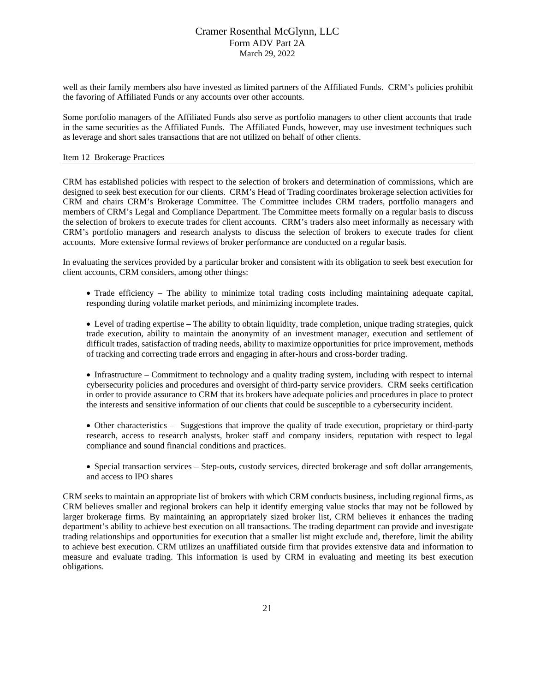well as their family members also have invested as limited partners of the Affiliated Funds. CRM's policies prohibit the favoring of Affiliated Funds or any accounts over other accounts.

Some portfolio managers of the Affiliated Funds also serve as portfolio managers to other client accounts that trade in the same securities as the Affiliated Funds. The Affiliated Funds, however, may use investment techniques such as leverage and short sales transactions that are not utilized on behalf of other clients.

#### <span id="page-20-0"></span>Item 12 Brokerage Practices

CRM has established policies with respect to the selection of brokers and determination of commissions, which are designed to seek best execution for our clients. CRM's Head of Trading coordinates brokerage selection activities for CRM and chairs CRM's Brokerage Committee. The Committee includes CRM traders, portfolio managers and members of CRM's Legal and Compliance Department. The Committee meets formally on a regular basis to discuss the selection of brokers to execute trades for client accounts. CRM's traders also meet informally as necessary with CRM's portfolio managers and research analysts to discuss the selection of brokers to execute trades for client accounts. More extensive formal reviews of broker performance are conducted on a regular basis.

In evaluating the services provided by a particular broker and consistent with its obligation to seek best execution for client accounts, CRM considers, among other things:

- Trade efficiency The ability to minimize total trading costs including maintaining adequate capital, responding during volatile market periods, and minimizing incomplete trades.
- Level of trading expertise The ability to obtain liquidity, trade completion, unique trading strategies, quick trade execution, ability to maintain the anonymity of an investment manager, execution and settlement of difficult trades, satisfaction of trading needs, ability to maximize opportunities for price improvement, methods of tracking and correcting trade errors and engaging in after-hours and cross-border trading.
- Infrastructure Commitment to technology and a quality trading system, including with respect to internal cybersecurity policies and procedures and oversight of third-party service providers. CRM seeks certification in order to provide assurance to CRM that its brokers have adequate policies and procedures in place to protect the interests and sensitive information of our clients that could be susceptible to a cybersecurity incident.
- Other characteristics Suggestions that improve the quality of trade execution, proprietary or third-party research, access to research analysts, broker staff and company insiders, reputation with respect to legal compliance and sound financial conditions and practices.
- Special transaction services Step-outs, custody services, directed brokerage and soft dollar arrangements, and access to IPO shares

CRM seeks to maintain an appropriate list of brokers with which CRM conducts business, including regional firms, as CRM believes smaller and regional brokers can help it identify emerging value stocks that may not be followed by larger brokerage firms. By maintaining an appropriately sized broker list, CRM believes it enhances the trading department's ability to achieve best execution on all transactions. The trading department can provide and investigate trading relationships and opportunities for execution that a smaller list might exclude and, therefore, limit the ability to achieve best execution. CRM utilizes an unaffiliated outside firm that provides extensive data and information to measure and evaluate trading. This information is used by CRM in evaluating and meeting its best execution obligations.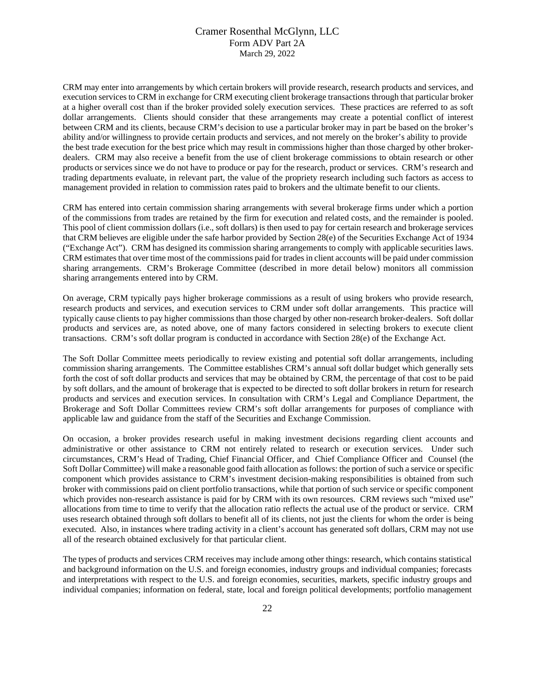CRM may enter into arrangements by which certain brokers will provide research, research products and services, and execution services to CRM in exchange for CRM executing client brokerage transactions through that particular broker at a higher overall cost than if the broker provided solely execution services. These practices are referred to as soft dollar arrangements. Clients should consider that these arrangements may create a potential conflict of interest between CRM and its clients, because CRM's decision to use a particular broker may in part be based on the broker's ability and/or willingness to provide certain products and services, and not merely on the broker's ability to provide the best trade execution for the best price which may result in commissions higher than those charged by other brokerdealers. CRM may also receive a benefit from the use of client brokerage commissions to obtain research or other products or services since we do not have to produce or pay for the research, product or services. CRM's research and trading departments evaluate, in relevant part, the value of the propriety research including such factors as access to management provided in relation to commission rates paid to brokers and the ultimate benefit to our clients.

CRM has entered into certain commission sharing arrangements with several brokerage firms under which a portion of the commissions from trades are retained by the firm for execution and related costs, and the remainder is pooled. This pool of client commission dollars (i.e., soft dollars) is then used to pay for certain research and brokerage services that CRM believes are eligible under the safe harbor provided by Section 28(e) of the Securities Exchange Act of 1934 ("Exchange Act"). CRM has designed its commission sharing arrangements to comply with applicable securities laws. CRM estimates that over time most of the commissions paid for trades in client accounts will be paid under commission sharing arrangements. CRM's Brokerage Committee (described in more detail below) monitors all commission sharing arrangements entered into by CRM.

On average, CRM typically pays higher brokerage commissions as a result of using brokers who provide research, research products and services, and execution services to CRM under soft dollar arrangements. This practice will typically cause clients to pay higher commissions than those charged by other non-research broker-dealers. Soft dollar products and services are, as noted above, one of many factors considered in selecting brokers to execute client transactions. CRM's soft dollar program is conducted in accordance with Section 28(e) of the Exchange Act.

The Soft Dollar Committee meets periodically to review existing and potential soft dollar arrangements, including commission sharing arrangements. The Committee establishes CRM's annual soft dollar budget which generally sets forth the cost of soft dollar products and services that may be obtained by CRM, the percentage of that cost to be paid by soft dollars, and the amount of brokerage that is expected to be directed to soft dollar brokers in return for research products and services and execution services. In consultation with CRM's Legal and Compliance Department, the Brokerage and Soft Dollar Committees review CRM's soft dollar arrangements for purposes of compliance with applicable law and guidance from the staff of the Securities and Exchange Commission.

On occasion, a broker provides research useful in making investment decisions regarding client accounts and administrative or other assistance to CRM not entirely related to research or execution services. Under such circumstances, CRM's Head of Trading, Chief Financial Officer, and Chief Compliance Officer and Counsel (the Soft Dollar Committee) will make a reasonable good faith allocation as follows: the portion of such a service or specific component which provides assistance to CRM's investment decision-making responsibilities is obtained from such broker with commissions paid on client portfolio transactions, while that portion of such service or specific component which provides non-research assistance is paid for by CRM with its own resources. CRM reviews such "mixed use" allocations from time to time to verify that the allocation ratio reflects the actual use of the product or service. CRM uses research obtained through soft dollars to benefit all of its clients, not just the clients for whom the order is being executed. Also, in instances where trading activity in a client's account has generated soft dollars, CRM may not use all of the research obtained exclusively for that particular client.

The types of products and services CRM receives may include among other things: research, which contains statistical and background information on the U.S. and foreign economies, industry groups and individual companies; forecasts and interpretations with respect to the U.S. and foreign economies, securities, markets, specific industry groups and individual companies; information on federal, state, local and foreign political developments; portfolio management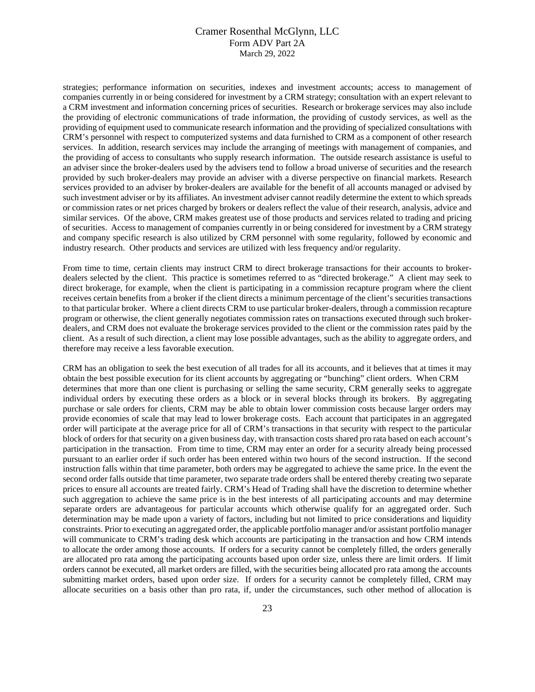strategies; performance information on securities, indexes and investment accounts; access to management of companies currently in or being considered for investment by a CRM strategy; consultation with an expert relevant to a CRM investment and information concerning prices of securities. Research or brokerage services may also include the providing of electronic communications of trade information, the providing of custody services, as well as the providing of equipment used to communicate research information and the providing of specialized consultations with CRM's personnel with respect to computerized systems and data furnished to CRM as a component of other research services. In addition, research services may include the arranging of meetings with management of companies, and the providing of access to consultants who supply research information. The outside research assistance is useful to an adviser since the broker-dealers used by the advisers tend to follow a broad universe of securities and the research provided by such broker-dealers may provide an adviser with a diverse perspective on financial markets. Research services provided to an adviser by broker-dealers are available for the benefit of all accounts managed or advised by such investment adviser or by its affiliates. An investment adviser cannot readily determine the extent to which spreads or commission rates or net prices charged by brokers or dealers reflect the value of their research, analysis, advice and similar services. Of the above, CRM makes greatest use of those products and services related to trading and pricing of securities. Access to management of companies currently in or being considered for investment by a CRM strategy and company specific research is also utilized by CRM personnel with some regularity, followed by economic and industry research. Other products and services are utilized with less frequency and/or regularity.

From time to time, certain clients may instruct CRM to direct brokerage transactions for their accounts to brokerdealers selected by the client. This practice is sometimes referred to as "directed brokerage." A client may seek to direct brokerage, for example, when the client is participating in a commission recapture program where the client receives certain benefits from a broker if the client directs a minimum percentage of the client's securities transactions to that particular broker. Where a client directs CRM to use particular broker-dealers, through a commission recapture program or otherwise, the client generally negotiates commission rates on transactions executed through such brokerdealers, and CRM does not evaluate the brokerage services provided to the client or the commission rates paid by the client. As a result of such direction, a client may lose possible advantages, such as the ability to aggregate orders, and therefore may receive a less favorable execution.

CRM has an obligation to seek the best execution of all trades for all its accounts, and it believes that at times it may obtain the best possible execution for its client accounts by aggregating or "bunching" client orders. When CRM determines that more than one client is purchasing or selling the same security, CRM generally seeks to aggregate individual orders by executing these orders as a block or in several blocks through its brokers. By aggregating purchase or sale orders for clients, CRM may be able to obtain lower commission costs because larger orders may provide economies of scale that may lead to lower brokerage costs. Each account that participates in an aggregated order will participate at the average price for all of CRM's transactions in that security with respect to the particular block of orders for that security on a given business day, with transaction costs shared pro rata based on each account's participation in the transaction. From time to time, CRM may enter an order for a security already being processed pursuant to an earlier order if such order has been entered within two hours of the second instruction. If the second instruction falls within that time parameter, both orders may be aggregated to achieve the same price. In the event the second order falls outside that time parameter, two separate trade orders shall be entered thereby creating two separate prices to ensure all accounts are treated fairly. CRM's Head of Trading shall have the discretion to determine whether such aggregation to achieve the same price is in the best interests of all participating accounts and may determine separate orders are advantageous for particular accounts which otherwise qualify for an aggregated order. Such determination may be made upon a variety of factors, including but not limited to price considerations and liquidity constraints. Prior to executing an aggregated order, the applicable portfolio manager and/or assistant portfolio manager will communicate to CRM's trading desk which accounts are participating in the transaction and how CRM intends to allocate the order among those accounts. If orders for a security cannot be completely filled, the orders generally are allocated pro rata among the participating accounts based upon order size, unless there are limit orders. If limit orders cannot be executed, all market orders are filled, with the securities being allocated pro rata among the accounts submitting market orders, based upon order size. If orders for a security cannot be completely filled, CRM may allocate securities on a basis other than pro rata, if, under the circumstances, such other method of allocation is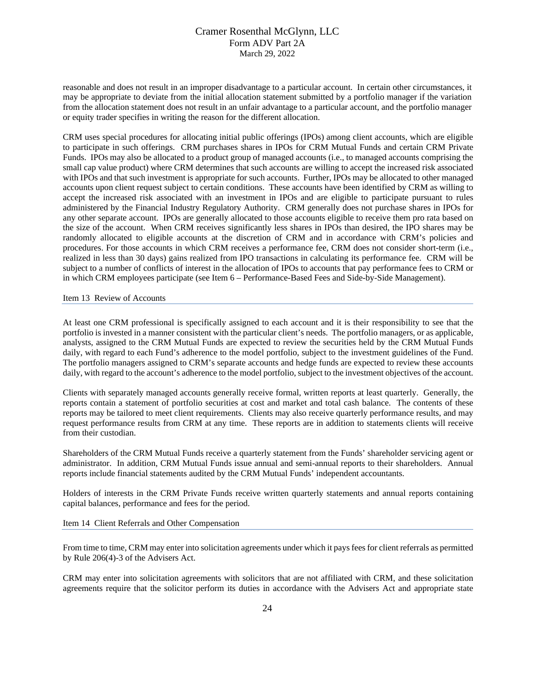reasonable and does not result in an improper disadvantage to a particular account. In certain other circumstances, it may be appropriate to deviate from the initial allocation statement submitted by a portfolio manager if the variation from the allocation statement does not result in an unfair advantage to a particular account, and the portfolio manager or equity trader specifies in writing the reason for the different allocation.

CRM uses special procedures for allocating initial public offerings (IPOs) among client accounts, which are eligible to participate in such offerings. CRM purchases shares in IPOs for CRM Mutual Funds and certain CRM Private Funds. IPOs may also be allocated to a product group of managed accounts (i.e., to managed accounts comprising the small cap value product) where CRM determines that such accounts are willing to accept the increased risk associated with IPOs and that such investment is appropriate for such accounts. Further, IPOs may be allocated to other managed accounts upon client request subject to certain conditions. These accounts have been identified by CRM as willing to accept the increased risk associated with an investment in IPOs and are eligible to participate pursuant to rules administered by the Financial Industry Regulatory Authority. CRM generally does not purchase shares in IPOs for any other separate account. IPOs are generally allocated to those accounts eligible to receive them pro rata based on the size of the account. When CRM receives significantly less shares in IPOs than desired, the IPO shares may be randomly allocated to eligible accounts at the discretion of CRM and in accordance with CRM's policies and procedures. For those accounts in which CRM receives a performance fee, CRM does not consider short-term (i.e., realized in less than 30 days) gains realized from IPO transactions in calculating its performance fee. CRM will be subject to a number of conflicts of interest in the allocation of IPOs to accounts that pay performance fees to CRM or in which CRM employees participate (see Item 6 – Performance-Based Fees and Side-by-Side Management).

<span id="page-23-0"></span>Item 13 Review of Accounts

At least one CRM professional is specifically assigned to each account and it is their responsibility to see that the portfolio is invested in a manner consistent with the particular client's needs. The portfolio managers, or as applicable, analysts, assigned to the CRM Mutual Funds are expected to review the securities held by the CRM Mutual Funds daily, with regard to each Fund's adherence to the model portfolio, subject to the investment guidelines of the Fund. The portfolio managers assigned to CRM's separate accounts and hedge funds are expected to review these accounts daily, with regard to the account's adherence to the model portfolio, subject to the investment objectives of the account.

Clients with separately managed accounts generally receive formal, written reports at least quarterly. Generally, the reports contain a statement of portfolio securities at cost and market and total cash balance. The contents of these reports may be tailored to meet client requirements. Clients may also receive quarterly performance results, and may request performance results from CRM at any time. These reports are in addition to statements clients will receive from their custodian.

Shareholders of the CRM Mutual Funds receive a quarterly statement from the Funds' shareholder servicing agent or administrator. In addition, CRM Mutual Funds issue annual and semi-annual reports to their shareholders. Annual reports include financial statements audited by the CRM Mutual Funds' independent accountants.

Holders of interests in the CRM Private Funds receive written quarterly statements and annual reports containing capital balances, performance and fees for the period.

<span id="page-23-1"></span>Item 14 Client Referrals and Other Compensation

From time to time, CRM may enter into solicitation agreements under which it pays fees for client referrals as permitted by Rule 206(4)-3 of the Advisers Act.

CRM may enter into solicitation agreements with solicitors that are not affiliated with CRM, and these solicitation agreements require that the solicitor perform its duties in accordance with the Advisers Act and appropriate state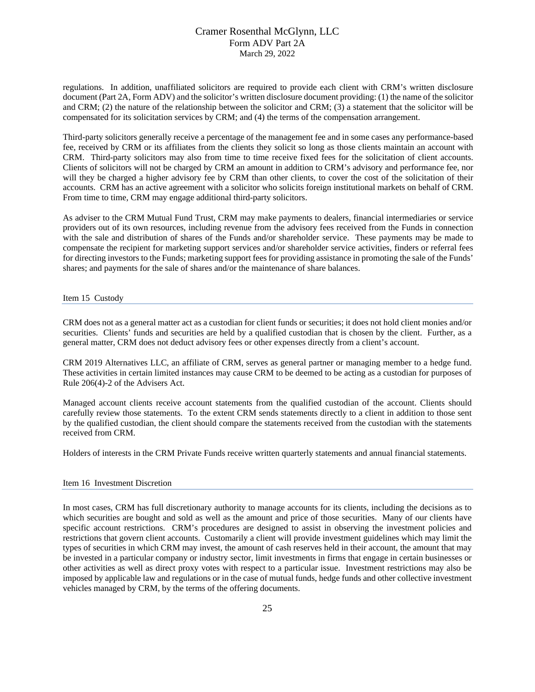regulations. In addition, unaffiliated solicitors are required to provide each client with CRM's written disclosure document (Part 2A, Form ADV) and the solicitor's written disclosure document providing: (1) the name of the solicitor and CRM; (2) the nature of the relationship between the solicitor and CRM; (3) a statement that the solicitor will be compensated for its solicitation services by CRM; and (4) the terms of the compensation arrangement.

Third-party solicitors generally receive a percentage of the management fee and in some cases any performance-based fee, received by CRM or its affiliates from the clients they solicit so long as those clients maintain an account with CRM. Third-party solicitors may also from time to time receive fixed fees for the solicitation of client accounts. Clients of solicitors will not be charged by CRM an amount in addition to CRM's advisory and performance fee, nor will they be charged a higher advisory fee by CRM than other clients, to cover the cost of the solicitation of their accounts. CRM has an active agreement with a solicitor who solicits foreign institutional markets on behalf of CRM. From time to time, CRM may engage additional third-party solicitors.

As adviser to the CRM Mutual Fund Trust, CRM may make payments to dealers, financial intermediaries or service providers out of its own resources, including revenue from the advisory fees received from the Funds in connection with the sale and distribution of shares of the Funds and/or shareholder service. These payments may be made to compensate the recipient for marketing support services and/or shareholder service activities, finders or referral fees for directing investors to the Funds; marketing support fees for providing assistance in promoting the sale of the Funds' shares; and payments for the sale of shares and/or the maintenance of share balances.

<span id="page-24-0"></span>Item 15 Custody

CRM does not as a general matter act as a custodian for client funds or securities; it does not hold client monies and/or securities. Clients' funds and securities are held by a qualified custodian that is chosen by the client. Further, as a general matter, CRM does not deduct advisory fees or other expenses directly from a client's account.

CRM 2019 Alternatives LLC, an affiliate of CRM, serves as general partner or managing member to a hedge fund. These activities in certain limited instances may cause CRM to be deemed to be acting as a custodian for purposes of Rule 206(4)-2 of the Advisers Act.

Managed account clients receive account statements from the qualified custodian of the account. Clients should carefully review those statements. To the extent CRM sends statements directly to a client in addition to those sent by the qualified custodian, the client should compare the statements received from the custodian with the statements received from CRM.

Holders of interests in the CRM Private Funds receive written quarterly statements and annual financial statements.

#### <span id="page-24-1"></span>Item 16 Investment Discretion

In most cases, CRM has full discretionary authority to manage accounts for its clients, including the decisions as to which securities are bought and sold as well as the amount and price of those securities. Many of our clients have specific account restrictions. CRM's procedures are designed to assist in observing the investment policies and restrictions that govern client accounts. Customarily a client will provide investment guidelines which may limit the types of securities in which CRM may invest, the amount of cash reserves held in their account, the amount that may be invested in a particular company or industry sector, limit investments in firms that engage in certain businesses or other activities as well as direct proxy votes with respect to a particular issue. Investment restrictions may also be imposed by applicable law and regulations or in the case of mutual funds, hedge funds and other collective investment vehicles managed by CRM, by the terms of the offering documents.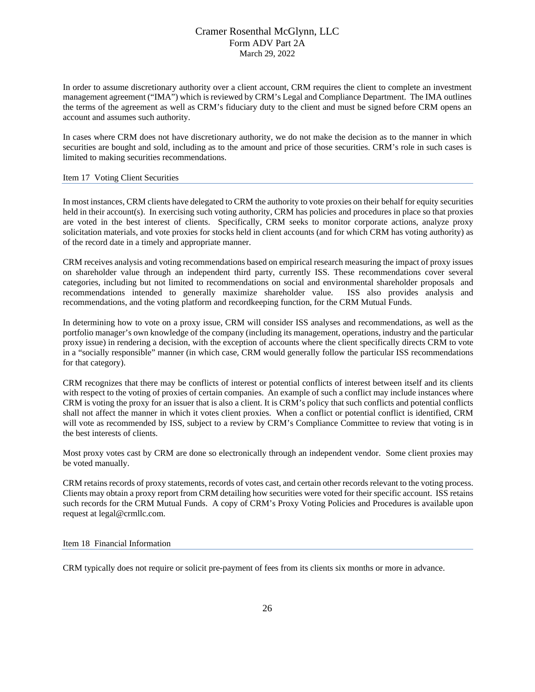In order to assume discretionary authority over a client account, CRM requires the client to complete an investment management agreement ("IMA") which is reviewed by CRM's Legal and Compliance Department. The IMA outlines the terms of the agreement as well as CRM's fiduciary duty to the client and must be signed before CRM opens an account and assumes such authority.

In cases where CRM does not have discretionary authority, we do not make the decision as to the manner in which securities are bought and sold, including as to the amount and price of those securities. CRM's role in such cases is limited to making securities recommendations.

#### <span id="page-25-0"></span>Item 17 Voting Client Securities

In most instances, CRM clients have delegated to CRM the authority to vote proxies on their behalf for equity securities held in their account(s). In exercising such voting authority, CRM has policies and procedures in place so that proxies are voted in the best interest of clients. Specifically, CRM seeks to monitor corporate actions, analyze proxy solicitation materials, and vote proxies for stocks held in client accounts (and for which CRM has voting authority) as of the record date in a timely and appropriate manner.

CRM receives analysis and voting recommendations based on empirical research measuring the impact of proxy issues on shareholder value through an independent third party, currently ISS. These recommendations cover several categories, including but not limited to recommendations on social and environmental shareholder proposals and recommendations intended to generally maximize shareholder value. ISS also provides analysis and recommendations, and the voting platform and recordkeeping function, for the CRM Mutual Funds.

In determining how to vote on a proxy issue, CRM will consider ISS analyses and recommendations, as well as the portfolio manager's own knowledge of the company (including its management, operations, industry and the particular proxy issue) in rendering a decision, with the exception of accounts where the client specifically directs CRM to vote in a "socially responsible" manner (in which case, CRM would generally follow the particular ISS recommendations for that category).

CRM recognizes that there may be conflicts of interest or potential conflicts of interest between itself and its clients with respect to the voting of proxies of certain companies. An example of such a conflict may include instances where CRM is voting the proxy for an issuer that is also a client. It is CRM's policy that such conflicts and potential conflicts shall not affect the manner in which it votes client proxies. When a conflict or potential conflict is identified, CRM will vote as recommended by ISS, subject to a review by CRM's Compliance Committee to review that voting is in the best interests of clients.

Most proxy votes cast by CRM are done so electronically through an independent vendor. Some client proxies may be voted manually.

CRM retains records of proxy statements, records of votes cast, and certain other records relevant to the voting process. Clients may obtain a proxy report from CRM detailing how securities were voted for their specific account. ISS retains such records for the CRM Mutual Funds. A copy of CRM's Proxy Voting Policies and Procedures is available upon request at [legal@crmllc.com.](mailto:legal@crmllc.com)

#### <span id="page-25-1"></span>Item 18 Financial Information

CRM typically does not require or solicit pre-payment of fees from its clients six months or more in advance.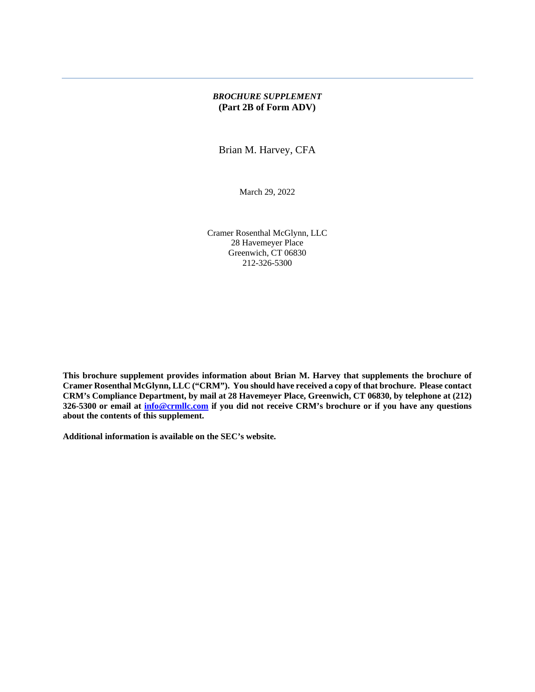### *BROCHURE SUPPLEMENT* **(Part 2B of Form ADV)**

Brian M. Harvey, CFA

March 29, 2022

Cramer Rosenthal McGlynn, LLC 28 Havemeyer Place Greenwich, CT 06830 212-326-5300

**This brochure supplement provides information about Brian M. Harvey that supplements the brochure of Cramer Rosenthal McGlynn, LLC ("CRM"). You should have received a copy of that brochure. Please contact CRM's Compliance Department, by mail at 28 Havemeyer Place, Greenwich, CT 06830, by telephone at (212) 326-5300 or email at [info@crmllc.com](mailto:info@crmllc.com) if you did not receive CRM's brochure or if you have any questions about the contents of this supplement.** 

**Additional information is available on the SEC's website.**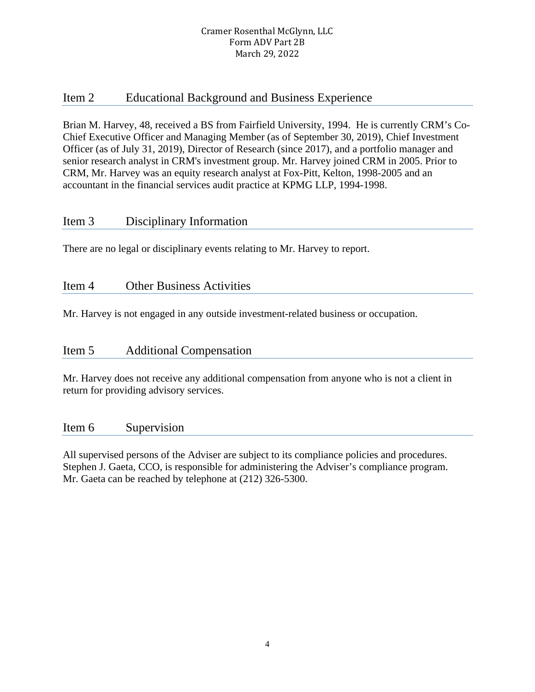# Item 2 Educational Background and Business Experience

Brian M. Harvey, 48, received a BS from Fairfield University, 1994. He is currently CRM's Co-Chief Executive Officer and Managing Member (as of September 30, 2019), Chief Investment Officer (as of July 31, 2019), Director of Research (since 2017), and a portfolio manager and senior research analyst in CRM's investment group. Mr. Harvey joined CRM in 2005. Prior to CRM, Mr. Harvey was an equity research analyst at Fox-Pitt, Kelton, 1998-2005 and an accountant in the financial services audit practice at KPMG LLP, 1994-1998.

# Item 3 Disciplinary Information

There are no legal or disciplinary events relating to Mr. Harvey to report.

# Item 4 Other Business Activities

Mr. Harvey is not engaged in any outside investment-related business or occupation.

# Item 5 Additional Compensation

Mr. Harvey does not receive any additional compensation from anyone who is not a client in return for providing advisory services.

# Item 6 Supervision

All supervised persons of the Adviser are subject to its compliance policies and procedures. Stephen J. Gaeta, CCO, is responsible for administering the Adviser's compliance program. Mr. Gaeta can be reached by telephone at (212) 326-5300.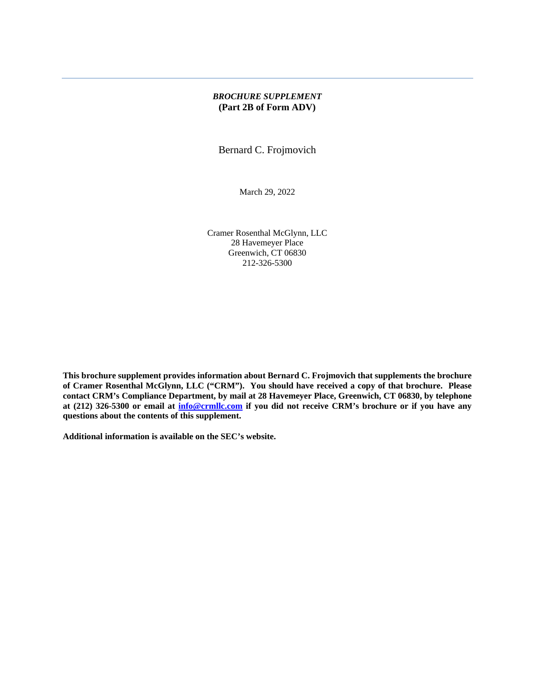### *BROCHURE SUPPLEMENT* **(Part 2B of Form ADV)**

Bernard C. Frojmovich

March 29, 2022

Cramer Rosenthal McGlynn, LLC 28 Havemeyer Place Greenwich, CT 06830 212-326-5300

**This brochure supplement provides information about Bernard C. Frojmovich that supplements the brochure of Cramer Rosenthal McGlynn, LLC ("CRM"). You should have received a copy of that brochure. Please contact CRM's Compliance Department, by mail at 28 Havemeyer Place, Greenwich, CT 06830, by telephone at (212) 326-5300 or email at [info@crmllc.com](mailto:info@crmllc.com) if you did not receive CRM's brochure or if you have any questions about the contents of this supplement.** 

**Additional information is available on the SEC's website.**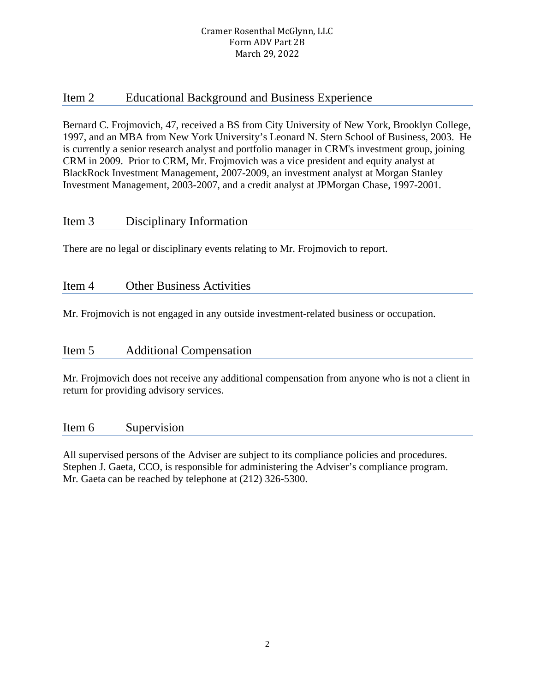# Item 2 Educational Background and Business Experience

Bernard C. Frojmovich, 47, received a BS from City University of New York, Brooklyn College, 1997, and an MBA from New York University's Leonard N. Stern School of Business, 2003. He is currently a senior research analyst and portfolio manager in CRM's investment group, joining CRM in 2009. Prior to CRM, Mr. Frojmovich was a vice president and equity analyst at BlackRock Investment Management, 2007-2009, an investment analyst at Morgan Stanley Investment Management, 2003-2007, and a credit analyst at JPMorgan Chase, 1997-2001.

# Item 3 Disciplinary Information

There are no legal or disciplinary events relating to Mr. Frojmovich to report.

# Item 4 Other Business Activities

Mr. Frojmovich is not engaged in any outside investment-related business or occupation.

# Item 5 Additional Compensation

Mr. Frojmovich does not receive any additional compensation from anyone who is not a client in return for providing advisory services.

# Item 6 Supervision

All supervised persons of the Adviser are subject to its compliance policies and procedures. Stephen J. Gaeta, CCO, is responsible for administering the Adviser's compliance program. Mr. Gaeta can be reached by telephone at (212) 326-5300.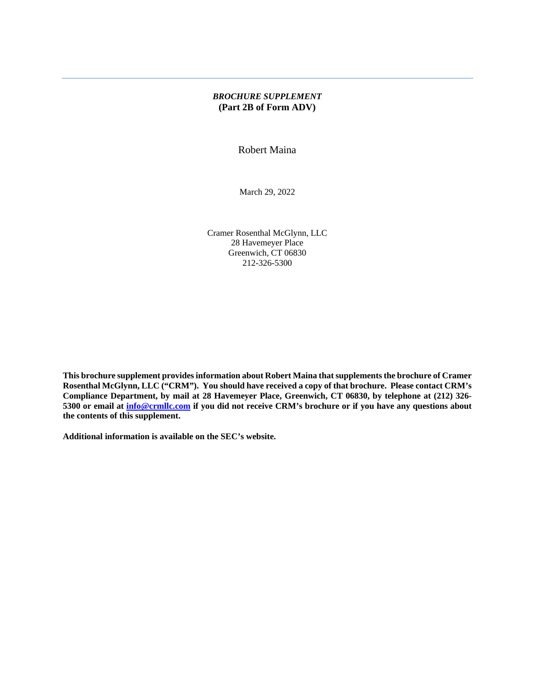### *BROCHURE SUPPLEMENT* **(Part 2B of Form ADV)**

Robert Maina

March 29, 2022

Cramer Rosenthal McGlynn, LLC 28 Havemeyer Place Greenwich, CT 06830 212-326-5300

**This brochure supplement provides information about Robert Maina that supplements the brochure of Cramer Rosenthal McGlynn, LLC ("CRM"). You should have received a copy of that brochure. Please contact CRM's Compliance Department, by mail at 28 Havemeyer Place, Greenwich, CT 06830, by telephone at (212) 326- 5300 or email at [info@crmllc.com](mailto:info@crmllc.com) if you did not receive CRM's brochure or if you have any questions about the contents of this supplement.** 

**Additional information is available on the SEC's website.**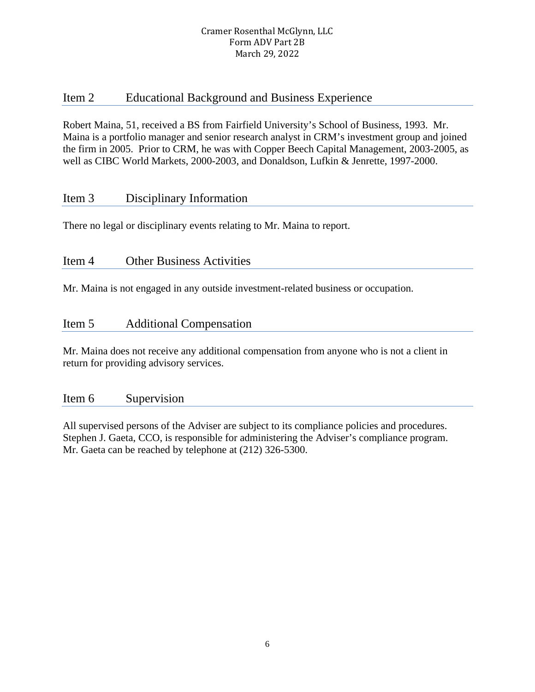# Item 2 Educational Background and Business Experience

Robert Maina, 51, received a BS from Fairfield University's School of Business, 1993. Mr. Maina is a portfolio manager and senior research analyst in CRM's investment group and joined the firm in 2005. Prior to CRM, he was with Copper Beech Capital Management, 2003-2005, as well as CIBC World Markets, 2000-2003, and Donaldson, Lufkin & Jenrette, 1997-2000.

# Item 3 Disciplinary Information

There no legal or disciplinary events relating to Mr. Maina to report.

# Item 4 Other Business Activities

Mr. Maina is not engaged in any outside investment-related business or occupation.

# Item 5 Additional Compensation

Mr. Maina does not receive any additional compensation from anyone who is not a client in return for providing advisory services.

# Item 6 Supervision

All supervised persons of the Adviser are subject to its compliance policies and procedures. Stephen J. Gaeta, CCO, is responsible for administering the Adviser's compliance program. Mr. Gaeta can be reached by telephone at (212) 326-5300.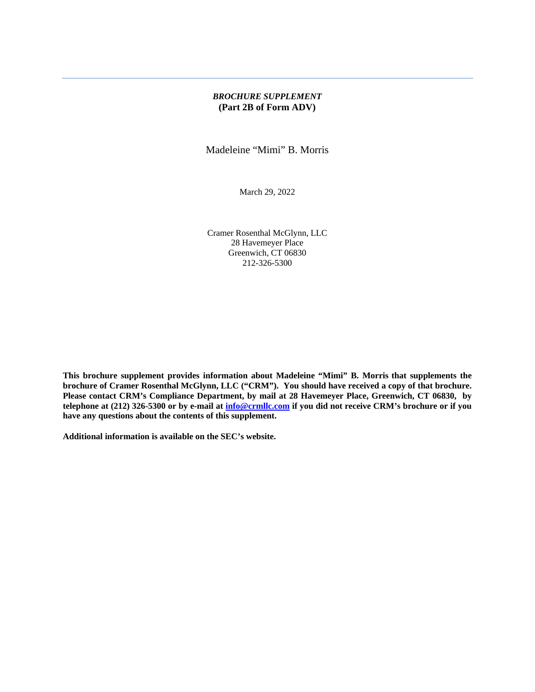### *BROCHURE SUPPLEMENT* **(Part 2B of Form ADV)**

Madeleine "Mimi" B. Morris

March 29, 2022

Cramer Rosenthal McGlynn, LLC 28 Havemeyer Place Greenwich, CT 06830 212-326-5300

**This brochure supplement provides information about Madeleine "Mimi" B. Morris that supplements the brochure of Cramer Rosenthal McGlynn, LLC ("CRM"). You should have received a copy of that brochure. Please contact CRM's Compliance Department, by mail at 28 Havemeyer Place, Greenwich, CT 06830, by telephone at (212) 326-5300 or by e-mail at [info@crmllc.com](mailto:info@crmllc.com) if you did not receive CRM's brochure or if you have any questions about the contents of this supplement.** 

**Additional information is available on the SEC's website.**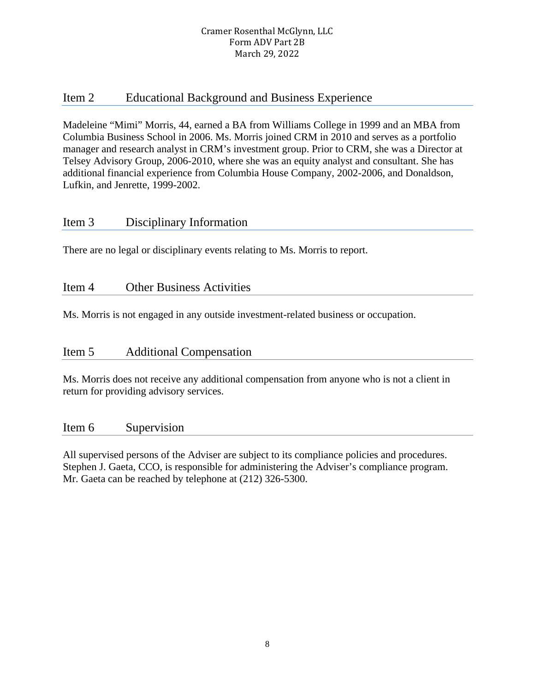# Item 2 Educational Background and Business Experience

Madeleine "Mimi" Morris, 44, earned a BA from Williams College in 1999 and an MBA from Columbia Business School in 2006. Ms. Morris joined CRM in 2010 and serves as a portfolio manager and research analyst in CRM's investment group. Prior to CRM, she was a Director at Telsey Advisory Group, 2006-2010, where she was an equity analyst and consultant. She has additional financial experience from Columbia House Company, 2002-2006, and Donaldson, Lufkin, and Jenrette, 1999-2002.

# Item 3 Disciplinary Information

There are no legal or disciplinary events relating to Ms. Morris to report.

# Item 4 Other Business Activities

Ms. Morris is not engaged in any outside investment-related business or occupation.

# Item 5 Additional Compensation

Ms. Morris does not receive any additional compensation from anyone who is not a client in return for providing advisory services.

# Item 6 Supervision

All supervised persons of the Adviser are subject to its compliance policies and procedures. Stephen J. Gaeta, CCO, is responsible for administering the Adviser's compliance program. Mr. Gaeta can be reached by telephone at (212) 326-5300.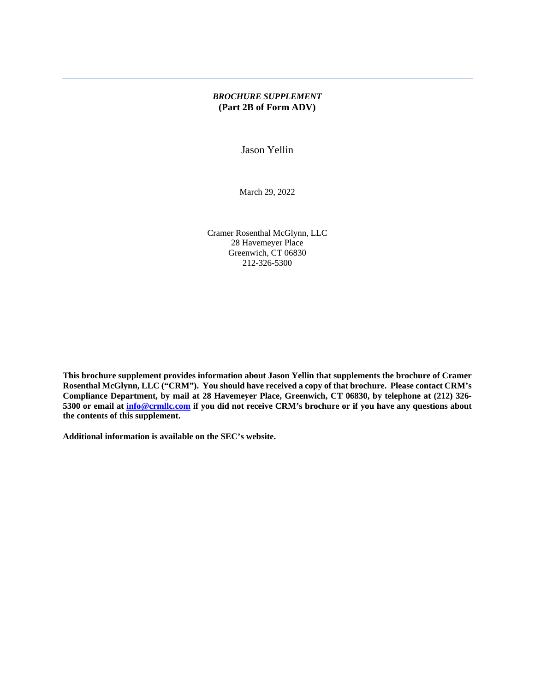### *BROCHURE SUPPLEMENT* **(Part 2B of Form ADV)**

Jason Yellin

March 29, 2022

Cramer Rosenthal McGlynn, LLC 28 Havemeyer Place Greenwich, CT 06830 212-326-5300

**This brochure supplement provides information about Jason Yellin that supplements the brochure of Cramer Rosenthal McGlynn, LLC ("CRM"). You should have received a copy of that brochure. Please contact CRM's Compliance Department, by mail at 28 Havemeyer Place, Greenwich, CT 06830, by telephone at (212) 326- 5300 or email at [info@crmllc.com](mailto:info@crmllc.com) if you did not receive CRM's brochure or if you have any questions about the contents of this supplement.** 

**Additional information is available on the SEC's website.**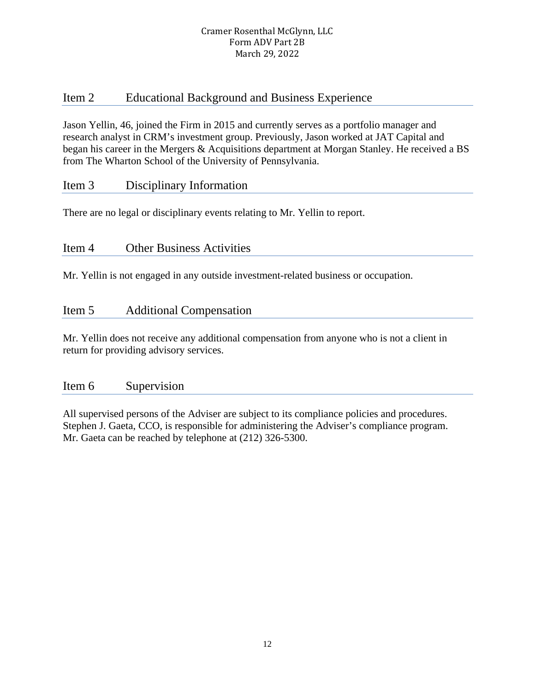# Item 2 Educational Background and Business Experience

Jason Yellin, 46, joined the Firm in 2015 and currently serves as a portfolio manager and research analyst in CRM's investment group. Previously, Jason worked at JAT Capital and began his career in the Mergers & Acquisitions department at Morgan Stanley. He received a BS from The Wharton School of the University of Pennsylvania.

# Item 3 Disciplinary Information

There are no legal or disciplinary events relating to Mr. Yellin to report.

# Item 4 Other Business Activities

Mr. Yellin is not engaged in any outside investment-related business or occupation.

# Item 5 Additional Compensation

Mr. Yellin does not receive any additional compensation from anyone who is not a client in return for providing advisory services.

# Item 6 Supervision

All supervised persons of the Adviser are subject to its compliance policies and procedures. Stephen J. Gaeta, CCO, is responsible for administering the Adviser's compliance program. Mr. Gaeta can be reached by telephone at (212) 326-5300.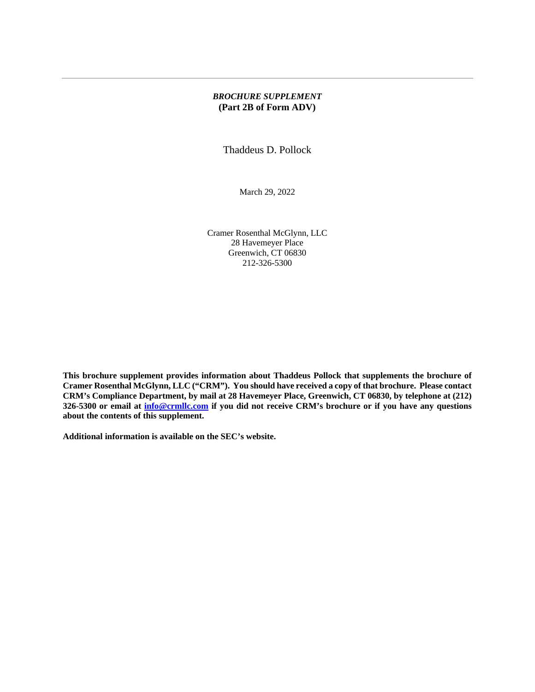### *BROCHURE SUPPLEMENT* **(Part 2B of Form ADV)**

Thaddeus D. Pollock

March 29, 2022

Cramer Rosenthal McGlynn, LLC 28 Havemeyer Place Greenwich, CT 06830 212-326-5300

**This brochure supplement provides information about Thaddeus Pollock that supplements the brochure of Cramer Rosenthal McGlynn, LLC ("CRM"). You should have received a copy of that brochure. Please contact CRM's Compliance Department, by mail at 28 Havemeyer Place, Greenwich, CT 06830, by telephone at (212) 326-5300 or email at [info@crmllc.com](mailto:info@crmllc.com) if you did not receive CRM's brochure or if you have any questions about the contents of this supplement.** 

**Additional information is available on the SEC's website.**